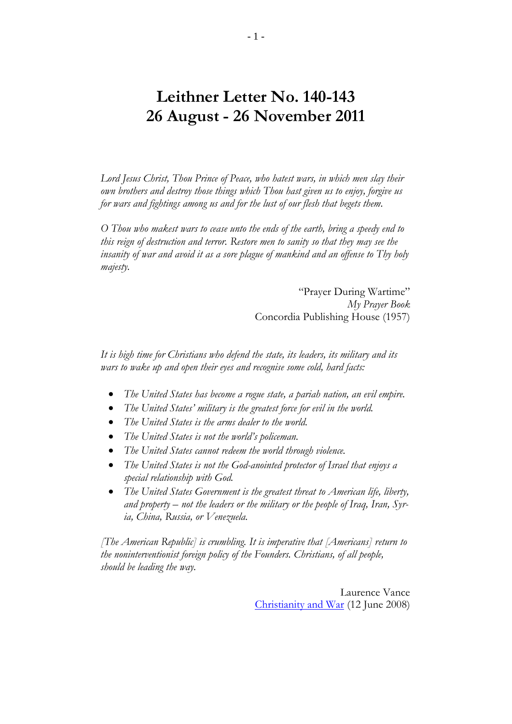# **Leithner Letter No. 140-143 26 August - 26 November 2011**

*Lord Jesus Christ, Thou Prince of Peace, who hatest wars, in which men slay their own brothers and destroy those things which Thou hast given us to enjoy, forgive us for wars and fightings among us and for the lust of our flesh that begets them.*

*O Thou who makest wars to cease unto the ends of the earth, bring a speedy end to this reign of destruction and terror. Restore men to sanity so that they may see the insanity of war and avoid it as a sore plague of mankind and an offense to Thy holy majesty.*

> "Prayer During Wartime" *My Prayer Book* Concordia Publishing House (1957)

*It is high time for Christians who defend the state, its leaders, its military and its wars to wake up and open their eyes and recognise some cold, hard facts:*

- *The United States has become a rogue state, a pariah nation, an evil empire.*
- *The United States' military is the greatest force for evil in the world.*
- *The United States is the arms dealer to the world.*
- *The United States is not the world's policeman.*
- *The United States cannot redeem the world through violence.*
- *The United States is not the God-anointed protector of Israel that enjoys a special relationship with God.*
- *The United States Government is the greatest threat to American life, liberty, and property – not the leaders or the military or the people of Iraq, Iran, Syria, China, Russia, or Venezuela.*

*[The American Republic] is crumbling. It is imperative that [Americans] return to the noninterventionist foreign policy of the Founders. Christians, of all people, should be leading the way.*

> Laurence Vance [Christianity and War](http://www.lewrockwell.com/vance/vance143.html) (12 June 2008)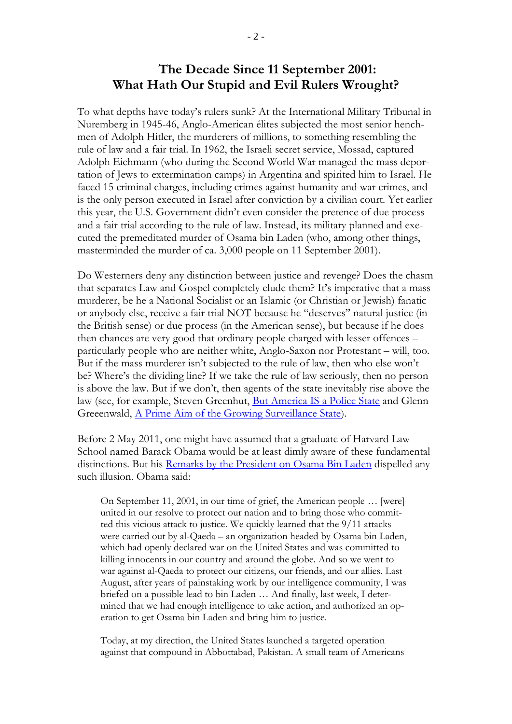# **The Decade Since 11 September 2001: What Hath Our Stupid and Evil Rulers Wrought?**

To what depths have today's rulers sunk? At the International Military Tribunal in Nuremberg in 1945-46, Anglo-American élites subjected the most senior henchmen of Adolph Hitler, the murderers of millions, to something resembling the rule of law and a fair trial. In 1962, the Israeli secret service, Mossad, captured Adolph Eichmann (who during the Second World War managed the mass deportation of Jews to extermination camps) in Argentina and spirited him to Israel. He faced 15 criminal charges, including crimes against humanity and war crimes, and is the only person executed in Israel after conviction by a civilian court. Yet earlier this year, the U.S. Government didn't even consider the pretence of due process and a fair trial according to the rule of law. Instead, its military planned and executed the premeditated murder of Osama bin Laden (who, among other things, masterminded the murder of ca. 3,000 people on 11 September 2001).

Do Westerners deny any distinction between justice and revenge? Does the chasm that separates Law and Gospel completely elude them? It's imperative that a mass murderer, be he a National Socialist or an Islamic (or Christian or Jewish) fanatic or anybody else, receive a fair trial NOT because he "deserves" natural justice (in the British sense) or due process (in the American sense), but because if he does then chances are very good that ordinary people charged with lesser offences – particularly people who are neither white, Anglo-Saxon nor Protestant – will, too. But if the mass murderer isn't subjected to the rule of law, then who else won't be? Where's the dividing line? If we take the rule of law seriously, then no person is above the law. But if we don't, then agents of the state inevitably rise above the law (see, for example, Steven Greenhut, [But America IS a Police State](http://lewrockwell.com/greenhut/greenhut66.1.html) and Glenn Greeenwald, [A Prime Aim of the Growing Surveillance State\)](http://www.salon.com/news/opinion/glenn_greenwald/2011/08/19/surveillance/index.html).

Before 2 May 2011, one might have assumed that a graduate of Harvard Law School named Barack Obama would be at least dimly aware of these fundamental distinctions. But his [Remarks by the President on Osama Bin Laden](http://www.whitehouse.gov/the-press-office/2011/05/02/remarks-president-osama-bin-laden) dispelled any such illusion. Obama said:

On September 11, 2001, in our time of grief, the American people … [were] united in our resolve to protect our nation and to bring those who committed this vicious attack to justice. We quickly learned that the 9/11 attacks were carried out by al-Qaeda – an organization headed by Osama bin Laden, which had openly declared war on the United States and was committed to killing innocents in our country and around the globe. And so we went to war against al-Qaeda to protect our citizens, our friends, and our allies. Last August, after years of painstaking work by our intelligence community, I was briefed on a possible lead to bin Laden … And finally, last week, I determined that we had enough intelligence to take action, and authorized an operation to get Osama bin Laden and bring him to justice.

Today, at my direction, the United States launched a targeted operation against that compound in Abbottabad, Pakistan. A small team of Americans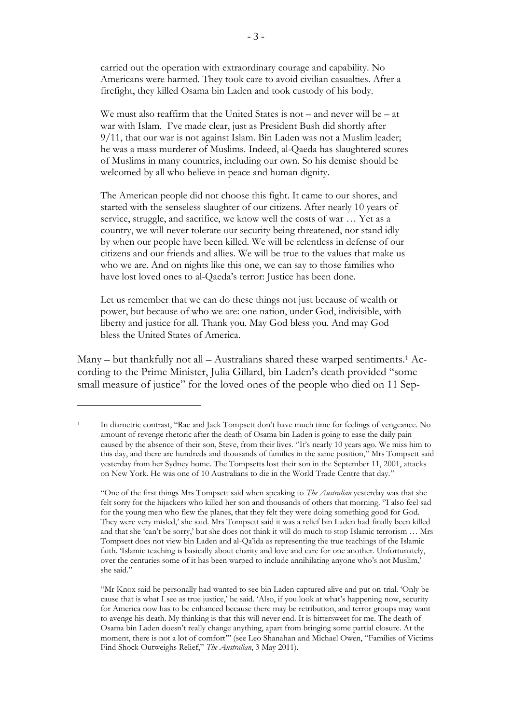carried out the operation with extraordinary courage and capability. No Americans were harmed. They took care to avoid civilian casualties. After a firefight, they killed Osama bin Laden and took custody of his body.

We must also reaffirm that the United States is not – and never will be – at war with Islam. I've made clear, just as President Bush did shortly after 9/11, that our war is not against Islam. Bin Laden was not a Muslim leader; he was a mass murderer of Muslims. Indeed, al-Qaeda has slaughtered scores of Muslims in many countries, including our own. So his demise should be welcomed by all who believe in peace and human dignity.

The American people did not choose this fight. It came to our shores, and started with the senseless slaughter of our citizens. After nearly 10 years of service, struggle, and sacrifice, we know well the costs of war … Yet as a country, we will never tolerate our security being threatened, nor stand idly by when our people have been killed. We will be relentless in defense of our citizens and our friends and allies. We will be true to the values that make us who we are. And on nights like this one, we can say to those families who have lost loved ones to al-Qaeda's terror: Justice has been done.

Let us remember that we can do these things not just because of wealth or power, but because of who we are: one nation, under God, indivisible, with liberty and justice for all. Thank you. May God bless you. And may God bless the United States of America.

Many – but thankfully not all – Australians shared these warped sentiments.<sup>1</sup> According to the Prime Minister, Julia Gillard, bin Laden's death provided "some small measure of justice" for the loved ones of the people who died on 11 Sep-

<sup>1</sup> In diametric contrast, "Rae and Jack Tompsett don't have much time for feelings of vengeance. No amount of revenge rhetoric after the death of Osama bin Laden is going to ease the daily pain caused by the absence of their son, Steve, from their lives. "It's nearly 10 years ago. We miss him to this day, and there are hundreds and thousands of families in the same position,'' Mrs Tompsett said yesterday from her Sydney home. The Tompsetts lost their son in the September 11, 2001, attacks on New York. He was one of 10 Australians to die in the World Trade Centre that day."

<sup>&</sup>quot;One of the first things Mrs Tompsett said when speaking to *The Australian* yesterday was that she felt sorry for the hijackers who killed her son and thousands of others that morning. ''I also feel sad for the young men who flew the planes, that they felt they were doing something good for God. They were very misled,' she said. Mrs Tompsett said it was a relief bin Laden had finally been killed and that she 'can't be sorry,' but she does not think it will do much to stop Islamic terrorism … Mrs Tompsett does not view bin Laden and al-Qa'ida as representing the true teachings of the Islamic faith. 'Islamic teaching is basically about charity and love and care for one another. Unfortunately, over the centuries some of it has been warped to include annihilating anyone who's not Muslim,' she said."

<sup>&</sup>quot;Mr Knox said he personally had wanted to see bin Laden captured alive and put on trial. 'Only because that is what I see as true justice,' he said. 'Also, if you look at what's happening now, security for America now has to be enhanced because there may be retribution, and terror groups may want to avenge his death. My thinking is that this will never end. It is bittersweet for me. The death of Osama bin Laden doesn't really change anything, apart from bringing some partial closure. At the moment, there is not a lot of comfort'" (see Leo Shanahan and Michael Owen, "Families of Victims Find Shock Outweighs Relief," *The Australian*, 3 May 2011).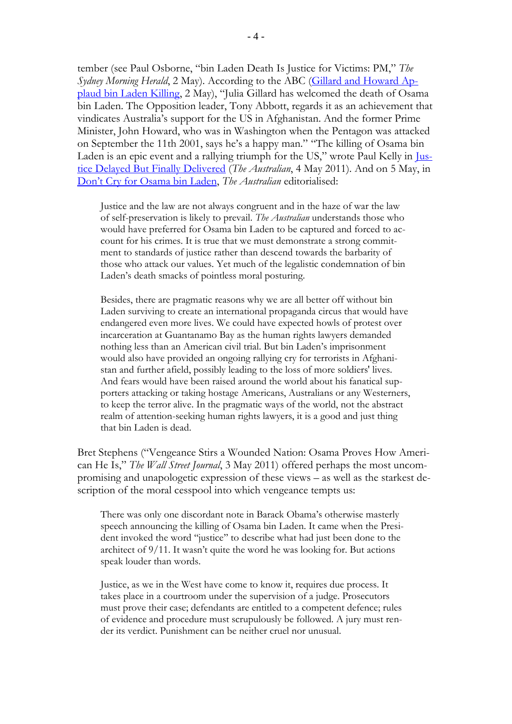tember (see Paul Osborne, "bin Laden Death Is Justice for Victims: PM," *The Sydney Morning Herald*, 2 May). According to the ABC [\(Gillard and Howard Ap](http://www.abc.net.au/pm/content/2011/s3205681.htm)[plaud bin Laden Killing](http://www.abc.net.au/pm/content/2011/s3205681.htm), 2 May), "Julia Gillard has welcomed the death of Osama bin Laden. The Opposition leader, Tony Abbott, regards it as an achievement that vindicates Australia's support for the US in Afghanistan. And the former Prime Minister, John Howard, who was in Washington when the Pentagon was attacked on September the 11th 2001, says he's a happy man." "The killing of Osama bin Laden is an epic event and a rallying triumph for the US," wrote Paul Kelly in [Jus](http://www.theaustralian.com.au/news/world/justice-delayed-but-finally-delivered/story-e6frg6ux-1226049425514)[tice Delayed But Finally Delivered](http://www.theaustralian.com.au/news/world/justice-delayed-but-finally-delivered/story-e6frg6ux-1226049425514) (*The Australian*, 4 May 2011). And on 5 May, in [Don't Cry for Osama bin Laden](http://www.theaustralian.com.au/news/opinion/dont-cry-for-osama-bin-laden/story-e6frg71x-1226050063282), *The Australian* editorialised:

Justice and the law are not always congruent and in the haze of war the law of self-preservation is likely to prevail. *The Australian* understands those who would have preferred for Osama bin Laden to be captured and forced to account for his crimes. It is true that we must demonstrate a strong commitment to standards of justice rather than descend towards the barbarity of those who attack our values. Yet much of the legalistic condemnation of bin Laden's death smacks of pointless moral posturing.

Besides, there are pragmatic reasons why we are all better off without bin Laden surviving to create an international propaganda circus that would have endangered even more lives. We could have expected howls of protest over incarceration at Guantanamo Bay as the human rights lawyers demanded nothing less than an American civil trial. But bin Laden's imprisonment would also have provided an ongoing rallying cry for terrorists in Afghanistan and further afield, possibly leading to the loss of more soldiers' lives. And fears would have been raised around the world about his fanatical supporters attacking or taking hostage Americans, Australians or any Westerners, to keep the terror alive. In the pragmatic ways of the world, not the abstract realm of attention-seeking human rights lawyers, it is a good and just thing that bin Laden is dead.

Bret Stephens ("Vengeance Stirs a Wounded Nation: Osama Proves How American He Is," *The Wall Street Journal*, 3 May 2011) offered perhaps the most uncompromising and unapologetic expression of these views – as well as the starkest description of the moral cesspool into which vengeance tempts us:

There was only one discordant note in Barack Obama's otherwise masterly speech announcing the killing of Osama bin Laden. It came when the President invoked the word ''justice'' to describe what had just been done to the architect of 9/11. It wasn't quite the word he was looking for. But actions speak louder than words.

Justice, as we in the West have come to know it, requires due process. It takes place in a courtroom under the supervision of a judge. Prosecutors must prove their case; defendants are entitled to a competent defence; rules of evidence and procedure must scrupulously be followed. A jury must render its verdict. Punishment can be neither cruel nor unusual.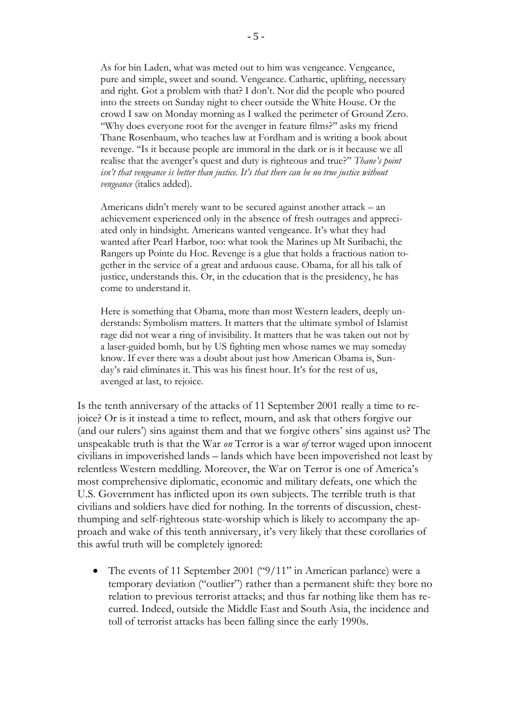As for bin Laden, what was meted out to him was vengeance. Vengeance, pure and simple, sweet and sound. Vengeance. Cathartic, uplifting, necessary and right. Got a problem with that? I don't. Nor did the people who poured into the streets on Sunday night to cheer outside the White House. Or the crowd I saw on Monday morning as I walked the perimeter of Ground Zero. ''Why does everyone root for the avenger in feature films?'' asks my friend Thane Rosenbaum, who teaches law at Fordham and is writing a book about revenge. ''Is it because people are immoral in the dark or is it because we all realise that the avenger's quest and duty is righteous and true?'' *Thane's point*  isn't that vengeance is better than justice. It's that there can be no true justice without *vengeance* (italics added).

Americans didn't merely want to be secured against another attack – an achievement experienced only in the absence of fresh outrages and appreciated only in hindsight. Americans wanted vengeance. It's what they had wanted after Pearl Harbor, too: what took the Marines up Mt Suribachi, the Rangers up Pointe du Hoc. Revenge is a glue that holds a fractious nation together in the service of a great and arduous cause. Obama, for all his talk of justice, understands this. Or, in the education that is the presidency, he has come to understand it.

Here is something that Obama, more than most Western leaders, deeply understands: Symbolism matters. It matters that the ultimate symbol of Islamist rage did not wear a ring of invisibility. It matters that he was taken out not by a laser-guided bomb, but by US fighting men whose names we may someday know. If ever there was a doubt about just how American Obama is, Sunday's raid eliminates it. This was his finest hour. It's for the rest of us, avenged at last, to rejoice.

Is the tenth anniversary of the attacks of 11 September 2001 really a time to rejoice? Or is it instead a time to reflect, mourn, and ask that others forgive our (and our rulers') sins against them and that we forgive others' sins against us? The unspeakable truth is that the War *on* Terror is a war *of* terror waged upon innocent civilians in impoverished lands – lands which have been impoverished not least by relentless Western meddling. Moreover, the War on Terror is one of America's most comprehensive diplomatic, economic and military defeats, one which the U.S. Government has inflicted upon its own subjects. The terrible truth is that civilians and soldiers have died for nothing. In the torrents of discussion, chestthumping and self-righteous state-worship which is likely to accompany the approach and wake of this tenth anniversary, it's very likely that these corollaries of this awful truth will be completely ignored:

• The events of 11 September 2001 ("9/11" in American parlance) were a temporary deviation ("outlier") rather than a permanent shift: they bore no relation to previous terrorist attacks; and thus far nothing like them has recurred. Indeed, outside the Middle East and South Asia, the incidence and toll of terrorist attacks has been falling since the early 1990s.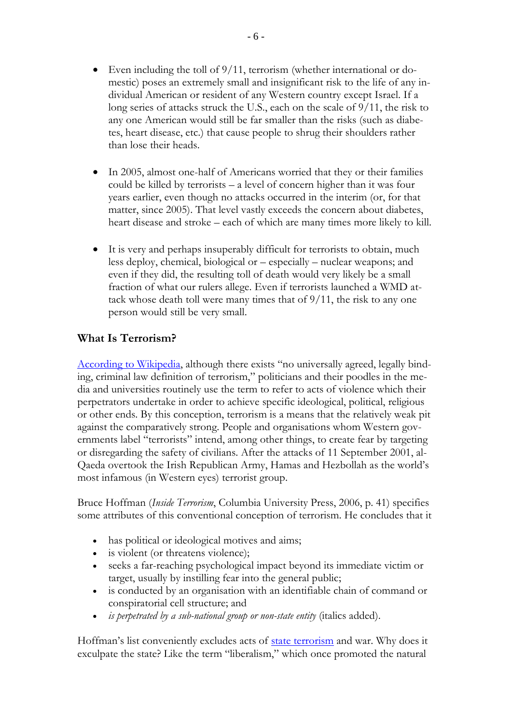- Even including the toll of 9/11, terrorism (whether international or domestic) poses an extremely small and insignificant risk to the life of any individual American or resident of any Western country except Israel. If a long series of attacks struck the U.S., each on the scale of 9/11, the risk to any one American would still be far smaller than the risks (such as diabetes, heart disease, etc.) that cause people to shrug their shoulders rather than lose their heads.
- In 2005, almost one-half of Americans worried that they or their families could be killed by terrorists – a level of concern higher than it was four years earlier, even though no attacks occurred in the interim (or, for that matter, since 2005). That level vastly exceeds the concern about diabetes, heart disease and stroke – each of which are many times more likely to kill.
- It is very and perhaps insuperably difficult for terrorists to obtain, much less deploy, chemical, biological or – especially – nuclear weapons; and even if they did, the resulting toll of death would very likely be a small fraction of what our rulers allege. Even if terrorists launched a WMD attack whose death toll were many times that of 9/11, the risk to any one person would still be very small.

# **What Is Terrorism?**

According [to Wikipedia,](http://en.wikipedia.org/wiki/Terrorism) although there exists "no universally agreed, legally binding, criminal law definition of terrorism," politicians and their poodles in the media and universities routinely use the term to refer to acts of violence which their perpetrators undertake in order to achieve specific ideological, political, religious or other ends. By this conception, terrorism is a means that the relatively weak pit against the comparatively strong. People and organisations whom Western governments label "terrorists" intend, among other things, to create fear by targeting or disregarding the safety of civilians. After the attacks of 11 September 2001, al-Qaeda overtook the Irish Republican Army, Hamas and Hezbollah as the world's most infamous (in Western eyes) terrorist group.

Bruce Hoffman (*Inside Terrorism*, Columbia University Press, 2006, p. 41) specifies some attributes of this conventional conception of terrorism. He concludes that it

- has political or ideological motives and aims;
- is violent (or threatens violence);
- seeks a far-reaching psychological impact beyond its immediate victim or target, usually by instilling fear into the general public;
- is conducted by an organisation with an identifiable chain of command or conspiratorial cell structure; and
- *is perpetrated by a sub-national group or non-state entity* (italics added).

Hoffman's list conveniently excludes acts of [state terrorism](http://en.wikipedia.org/wiki/State_terrorism) and war. Why does it exculpate the state? Like the term "liberalism," which once promoted the natural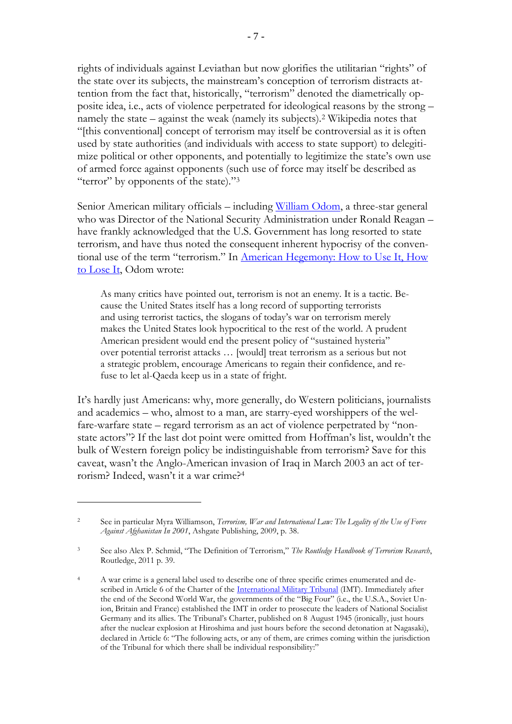rights of individuals against Leviathan but now glorifies the utilitarian "rights" of the state over its subjects, the mainstream's conception of terrorism distracts attention from the fact that, historically, "terrorism" denoted the diametrically opposite idea, i.e., acts of violence perpetrated for ideological reasons by the strong – namely the state – against the weak (namely its subjects). <sup>2</sup> Wikipedia notes that "[this conventional] concept of terrorism may itself be controversial as it is often used by state authorities (and individuals with access to state support) to delegitimize political or other opponents, and potentially to legitimize the state's own use of armed force against opponents (such use of force may itself be described as "terror" by opponents of the state)."<sup>3</sup>

Senior American military officials – including [William Odom,](http://en.wikipedia.org/wiki/William_Eldridge_Odom) a three-star general who was Director of the National Security Administration under Ronald Reagan – have frankly acknowledged that the U.S. Government has long resorted to state terrorism, and have thus noted the consequent inherent hypocrisy of the conventional use of the term "terrorism." In American Hegemony: How to Use It, How [to Lose It,](http://www.middlebury.edu/media/view/214721/original/OdomPaper.pdf) Odom wrote:

As many critics have pointed out, terrorism is not an enemy. It is a tactic. Because the United States itself has a long record of supporting terrorists and using terrorist tactics, the slogans of today's war on terrorism merely makes the United States look hypocritical to the rest of the world. A prudent American president would end the present policy of "sustained hysteria" over potential terrorist attacks … [would] treat terrorism as a serious but not a strategic problem, encourage Americans to regain their confidence, and refuse to let al-Qaeda keep us in a state of fright.

It's hardly just Americans: why, more generally, do Western politicians, journalists and academics – who, almost to a man, are starry-eyed worshippers of the welfare-warfare state – regard terrorism as an act of violence perpetrated by "nonstate actors"? If the last dot point were omitted from Hoffman's list, wouldn't the bulk of Western foreign policy be indistinguishable from terrorism? Save for this caveat, wasn't the Anglo-American invasion of Iraq in March 2003 an act of terrorism? Indeed, wasn't it a war crime?<sup>4</sup>

<sup>2</sup> See in particular Myra Williamson, *Terrorism, War and International Law: The Legality of the Use of Force Against Afghanistan In 2001*, Ashgate Publishing, 2009, p. 38.

<sup>3</sup> See also Alex P. Schmid, "The Definition of Terrorism," *The Routledge Handbook of Terrorism Research*, Routledge, 2011 p. 39.

<sup>4</sup> A war crime is a general label used to describe one of three specific crimes enumerated and de-scribed in Article 6 of the Charter of the [International Military Tribunal](http://www4.justiz.bayern.de/olgn/imt/imte.htm) (IMT). Immediately after the end of the Second World War, the governments of the "Big Four" (i.e., the U.S.A., Soviet Union, Britain and France) established the IMT in order to prosecute the leaders of National Socialist Germany and its allies. The Tribunal's Charter, published on 8 August 1945 (ironically, just hours after the nuclear explosion at Hiroshima and just hours before the second detonation at Nagasaki), declared in Article 6: "The following acts, or any of them, are crimes coming within the jurisdiction of the Tribunal for which there shall be individual responsibility:"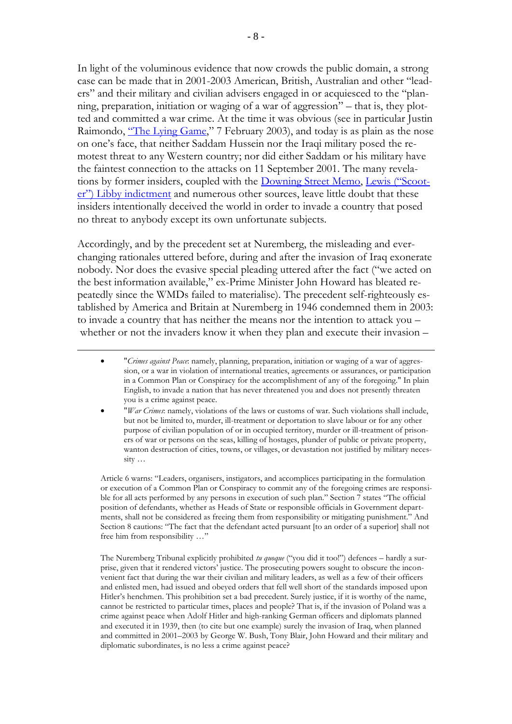In light of the voluminous evidence that now crowds the public domain, a strong case can be made that in 2001-2003 American, British, Australian and other "leaders" and their military and civilian advisers engaged in or acquiesced to the "planning, preparation, initiation or waging of a war of aggression" – that is, they plotted and committed a war crime. At the time it was obvious (see in particular Justin Raimondo, "[The Lying Game](http://www.antiwar.com/justin/j020703.html)," 7 February 2003), and today is as plain as the nose on one's face, that neither Saddam Hussein nor the Iraqi military posed the remotest threat to any Western country; nor did either Saddam or his military have the faintest connection to the attacks on 11 September 2001. The many revelations by former insiders, coupled with the **Downing Street Memo**, [Lewis](http://en.wikipedia.org/wiki/Scooter_Libby) ("Scooter") [Libby indictment](http://en.wikipedia.org/wiki/Scooter_Libby) and numerous other sources, leave little doubt that these insiders intentionally deceived the world in order to invade a country that posed no threat to anybody except its own unfortunate subjects.

Accordingly, and by the precedent set at Nuremberg, the misleading and everchanging rationales uttered before, during and after the invasion of Iraq exonerate nobody. Nor does the evasive special pleading uttered after the fact ("we acted on the best information available," ex-Prime Minister John Howard has bleated repeatedly since the WMDs failed to materialise). The precedent self-righteously established by America and Britain at Nuremberg in 1946 condemned them in 2003: to invade a country that has neither the means nor the intention to attack you – whether or not the invaders know it when they plan and execute their invasion –

1

- "*Crimes against Peace*: namely, planning, preparation, initiation or waging of a war of aggression, or a war in violation of international treaties, agreements or assurances, or participation in a Common Plan or Conspiracy for the accomplishment of any of the foregoing." In plain English, to invade a nation that has never threatened you and does not presently threaten you is a crime against peace.
- "*War Crimes*: namely, violations of the laws or customs of war. Such violations shall include, but not be limited to, murder, ill-treatment or deportation to slave labour or for any other purpose of civilian population of or in occupied territory, murder or ill-treatment of prisoners of war or persons on the seas, killing of hostages, plunder of public or private property, wanton destruction of cities, towns, or villages, or devastation not justified by military necessity …

Article 6 warns: "Leaders, organisers, instigators, and accomplices participating in the formulation or execution of a Common Plan or Conspiracy to commit any of the foregoing crimes are responsible for all acts performed by any persons in execution of such plan." Section 7 states "The official position of defendants, whether as Heads of State or responsible officials in Government departments, shall not be considered as freeing them from responsibility or mitigating punishment." And Section 8 cautions: "The fact that the defendant acted pursuant [to an order of a superior] shall not free him from responsibility …"

The Nuremberg Tribunal explicitly prohibited *tu quoque* ("you did it too!") defences – hardly a surprise, given that it rendered victors' justice. The prosecuting powers sought to obscure the inconvenient fact that during the war their civilian and military leaders, as well as a few of their officers and enlisted men, had issued and obeyed orders that fell well short of the standards imposed upon Hitler's henchmen. This prohibition set a bad precedent. Surely justice, if it is worthy of the name, cannot be restricted to particular times, places and people? That is, if the invasion of Poland was a crime against peace when Adolf Hitler and high-ranking German officers and diplomats planned and executed it in 1939, then (to cite but one example) surely the invasion of Iraq, when planned and committed in 2001–2003 by George W. Bush, Tony Blair, John Howard and their military and diplomatic subordinates, is no less a crime against peace?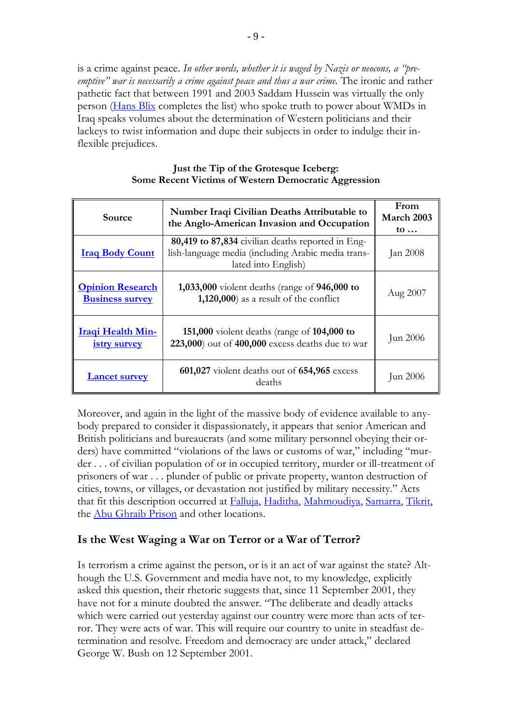is a crime against peace. *In other words, whether it is waged by Nazis or neocons, a "preemptive" war is necessarily a crime against peace and thus a war crime.* The ironic and rather pathetic fact that between 1991 and 2003 Saddam Hussein was virtually the only person [\(Hans Blix](http://en.wikipedia.org/wiki/Hans_Blix) completes the list) who spoke truth to power about WMDs in Iraq speaks volumes about the determination of Western politicians and their lackeys to twist information and dupe their subjects in order to indulge their inflexible prejudices.

| Source                                            | Number Iraqi Civilian Deaths Attributable to<br>the Anglo-American Invasion and Occupation                                     | From<br>March 2003<br>to $\ldots$ |
|---------------------------------------------------|--------------------------------------------------------------------------------------------------------------------------------|-----------------------------------|
| <b>Iraq Body Count</b>                            | 80,419 to 87,834 civilian deaths reported in Eng-<br>lish-language media (including Arabic media trans-<br>lated into English) | Jan 2008                          |
| <b>Opinion Research</b><br><b>Business survey</b> | 1,033,000 violent deaths (range of 946,000 to<br>$1,120,000$ as a result of the conflict                                       | Aug 2007                          |
| <b>Iraqi Health Min-</b><br><u>istry survey</u>   | 151,000 violent deaths (range of 104,000 to<br>223,000) out of 400,000 excess deaths due to war                                | Jun 2006                          |
| <b>Lancet survey</b>                              | 601,027 violent deaths out of 654,965 excess<br>deaths                                                                         | Jun $2006$                        |

#### **Just the Tip of the Grotesque Iceberg: Some Recent Victims of Western Democratic Aggression**

Moreover, and again in the light of the massive body of evidence available to anybody prepared to consider it dispassionately, it appears that senior American and British politicians and bureaucrats (and some military personnel obeying their orders) have committed "violations of the laws or customs of war," including "murder . . . of civilian population of or in occupied territory, murder or ill-treatment of prisoners of war . . . plunder of public or private property, wanton destruction of cities, towns, or villages, or devastation not justified by military necessity." Acts that fit this description occurred at [Falluja,](http://www.counterpunch.org/sengupta11232004.html) [Haditha,](http://www.lewrockwell.com/www.washingtonpost.com/wp-dyn/content/article/2006/05/26/AR2006052602069.html) [Mahmoudiya,](http://www.huffingtonpost.com/robert-koehler/hadji-girl_b_24445.html) [Samarra,](http://www.antiwar.com/justin/?articleid=9508) [Tikrit,](http://www.tomdispatch.com/index.mhtml?pid=1066) the [Abu Ghraib Prison](http://en.wikipedia.org/wiki/Abu_Ghraib_prisoner_abuse) and other locations.

### **Is the West Waging a War on Terror or a War of Terror?**

Is terrorism a crime against the person, or is it an act of war against the state? Although the U.S. Government and media have not, to my knowledge, explicitly asked this question, their rhetoric suggests that, since 11 September 2001, they have not for a minute doubted the answer. "The deliberate and deadly attacks which were carried out yesterday against our country were more than acts of terror. They were acts of war. This will require our country to unite in steadfast determination and resolve. Freedom and democracy are under attack," declared George W. Bush on 12 September 2001.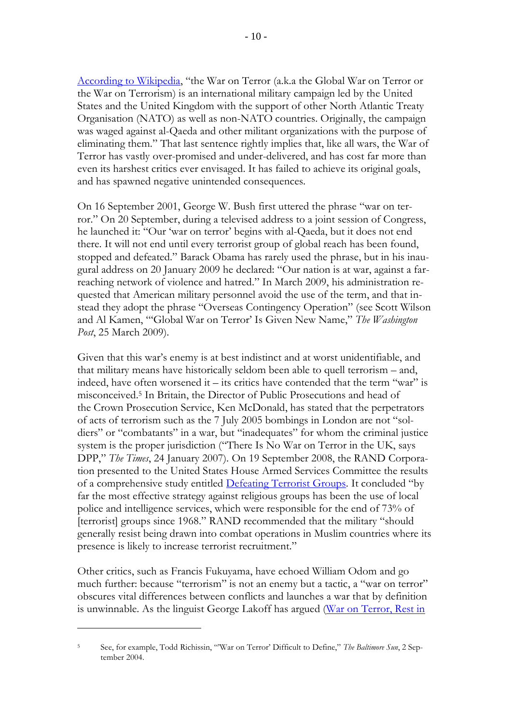[According to Wikipedia](http://en.wikipedia.org/wiki/War_on_Terror), "the War on Terror (a.k.a the Global War on Terror or the War on Terrorism) is an international military campaign led by the United States and the United Kingdom with the support of other North Atlantic Treaty Organisation (NATO) as well as non-NATO countries. Originally, the campaign was waged against al-Qaeda and other militant organizations with the purpose of eliminating them." That last sentence rightly implies that, like all wars, the War of Terror has vastly over-promised and under-delivered, and has cost far more than even its harshest critics ever envisaged. It has failed to achieve its original goals, and has spawned negative unintended consequences.

On 16 September 2001, George W. Bush first uttered the phrase "war on terror." On 20 September, during a televised address to a joint session of Congress, he launched it: "Our 'war on terror' begins with al-Qaeda, but it does not end there. It will not end until every terrorist group of global reach has been found, stopped and defeated." Barack Obama has rarely used the phrase, but in his inaugural address on 20 January 2009 he declared: "Our nation is at war, against a farreaching network of violence and hatred." In March 2009, his administration requested that American military personnel avoid the use of the term, and that instead they adopt the phrase "Overseas Contingency Operation" (see Scott Wilson and Al Kamen, "'Global War on Terror' Is Given New Name," *The Washington Post*, 25 March 2009).

Given that this war's enemy is at best indistinct and at worst unidentifiable, and that military means have historically seldom been able to quell terrorism – and, indeed, have often worsened it – its critics have contended that the term "war" is misconceived. <sup>5</sup> In Britain, the Director of Public Prosecutions and head of the Crown Prosecution Service, Ken McDonald, has stated that the perpetrators of acts of terrorism such as the 7 July 2005 bombings in London are not "soldiers" or "combatants" in a war, but "inadequates" for whom the criminal justice system is the proper jurisdiction ("There Is No War on Terror in the UK, says DPP," *The Times*, 24 January 2007). On 19 September 2008, the RAND Corporation presented to the United States House Armed Services Committee the results of a comprehensive study entitled [Defeating Terrorist Groups](http://www.rand.org/pubs/testimonies/2008/RAND_CT314.pdf). It concluded "by far the most effective strategy against religious groups has been the use of local police and intelligence services, which were responsible for the end of 73% of [terrorist] groups since 1968." RAND recommended that the military "should generally resist being drawn into combat operations in Muslim countries where its presence is likely to increase terrorist recruitment."

Other critics, such as Francis Fukuyama, have echoed William Odom and go much further: because "terrorism" is not an enemy but a tactic, a "war on terror" obscures vital differences between conflicts and launches a war that by definition is unwinnable. As the linguist George Lakoff has argued [\(War on Terror, Rest in](http://www.alternet.org/story/23810/) 

<sup>5</sup> See, for example, Todd Richissin, "'War on Terror' Difficult to Define," *The Baltimore Sun*, 2 September 2004.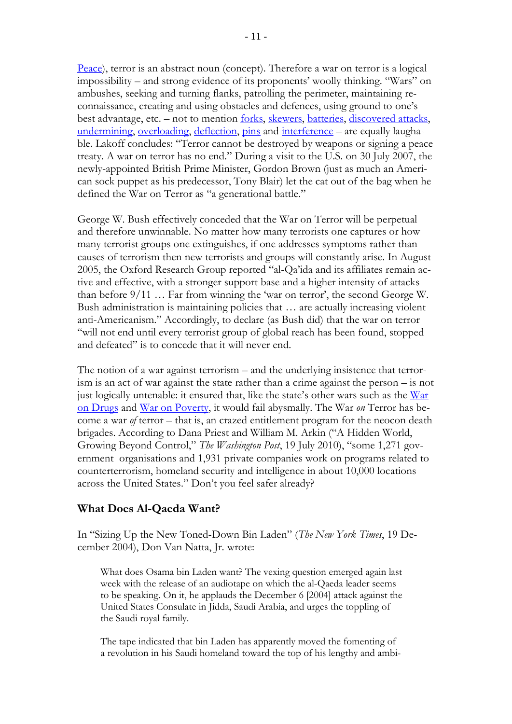[Peace\)](http://www.alternet.org/story/23810/), terror is an abstract noun (concept). Therefore a war on terror is a logical impossibility – and strong evidence of its proponents' woolly thinking. "Wars" on ambushes, seeking and turning flanks, patrolling the perimeter, maintaining reconnaissance, creating and using obstacles and defences, using ground to one's best advantage, etc. – not to mention [forks,](http://en.wikipedia.org/wiki/Fork_(chess)) [skewers,](http://en.wikipedia.org/wiki/Skewer_(chess)) [batteries,](http://en.wikipedia.org/wiki/Battery_(chess)) [discovered attacks,](http://en.wikipedia.org/wiki/Discovered_attack) [undermining,](http://en.wikipedia.org/wiki/Undermining_(chess)) [overloading,](http://en.wikipedia.org/wiki/Overloading_(chess)) [deflection,](http://en.wikipedia.org/wiki/Deflection_(chess)) [pins](http://en.wikipedia.org/wiki/Pin_(chess)) and [interference](http://en.wikipedia.org/wiki/Interference_(chess)) – are equally laughable. Lakoff concludes: "Terror cannot be destroyed by weapons or signing a peace treaty. A war on terror has no end." During a visit to the U.S. on 30 July 2007, the newly-appointed British Prime Minister, Gordon Brown (just as much an American sock puppet as his predecessor, Tony Blair) let the cat out of the bag when he defined the War on Terror as "a generational battle."

George W. Bush effectively conceded that the War on Terror will be perpetual and therefore unwinnable. No matter how many terrorists one captures or how many terrorist groups one extinguishes, if one addresses symptoms rather than causes of terrorism then new terrorists and groups will constantly arise. In August 2005, the Oxford Research Group reported "al-Qa'ida and its affiliates remain active and effective, with a stronger support base and a higher intensity of attacks than before 9/11 … Far from winning the 'war on terror', the second George W. Bush administration is maintaining policies that … are actually increasing violent anti-Americanism." Accordingly, to declare (as Bush did) that the war on terror "will not end until every terrorist group of global reach has been found, stopped and defeated" is to concede that it will never end.

The notion of a war against terrorism – and the underlying insistence that terrorism is an act of war against the state rather than a crime against the person – is not just logically untenable: it ensured that, like the state's other wars such as the  $\frac{War}{W}$ [on Drugs](http://en.wikipedia.org/wiki/War_on_Drugs) and [War on Poverty,](http://en.wikipedia.org/wiki/War_on_Poverty) it would fail abysmally. The War *on* Terror has become a war *of* terror – that is, an crazed entitlement program for the neocon death brigades. According to Dana Priest and William M. Arkin ("A Hidden World, Growing Beyond Control," *The Washington Post*, 19 July 2010), "some 1,271 government organisations and 1,931 private companies work on programs related to counterterrorism, homeland security and intelligence in about 10,000 locations across the United States." Don't you feel safer already?

#### **What Does Al-Qaeda Want?**

In "Sizing Up the New Toned-Down Bin Laden" (*The New York Times*, 19 December 2004), Don Van Natta, Jr. wrote:

What does Osama bin Laden want? The vexing question emerged again last week with the release of an audiotape on which the al-Qaeda leader seems to be speaking. On it, he applauds the December 6 [2004] attack against the United States Consulate in Jidda, Saudi Arabia, and urges the toppling of the Saudi royal family.

The tape indicated that bin Laden has apparently moved the fomenting of a revolution in his Saudi homeland toward the top of his lengthy and ambi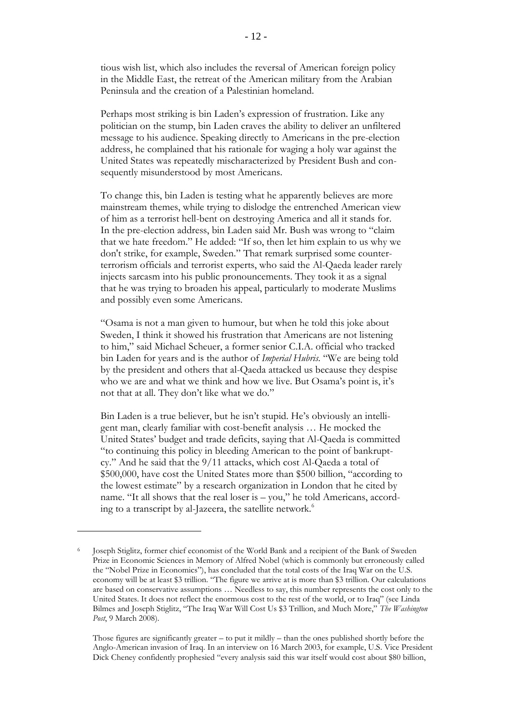tious wish list, which also includes the reversal of American foreign policy in the Middle East, the retreat of the American military from the Arabian Peninsula and the creation of a Palestinian homeland.

Perhaps most striking is bin Laden's expression of frustration. Like any politician on the stump, bin Laden craves the ability to deliver an unfiltered message to his audience. Speaking directly to Americans in the pre-election address, he complained that his rationale for waging a holy war against the United States was repeatedly mischaracterized by President Bush and consequently misunderstood by most Americans.

To change this, bin Laden is testing what he apparently believes are more mainstream themes, while trying to dislodge the entrenched American view of him as a terrorist hell-bent on destroying America and all it stands for. In the pre-election address, bin Laden said Mr. Bush was wrong to "claim that we hate freedom." He added: "If so, then let him explain to us why we don't strike, for example, Sweden." That remark surprised some counterterrorism officials and terrorist experts, who said the Al-Qaeda leader rarely injects sarcasm into his public pronouncements. They took it as a signal that he was trying to broaden his appeal, particularly to moderate Muslims and possibly even some Americans.

"Osama is not a man given to humour, but when he told this joke about Sweden, I think it showed his frustration that Americans are not listening to him," said Michael Scheuer, a former senior C.I.A. official who tracked bin Laden for years and is the author of *Imperial Hubris*. "We are being told by the president and others that al-Qaeda attacked us because they despise who we are and what we think and how we live. But Osama's point is, it's not that at all. They don't like what we do."

Bin Laden is a true believer, but he isn't stupid. He's obviously an intelligent man, clearly familiar with cost-benefit analysis … He mocked the United States' budget and trade deficits, saying that Al-Qaeda is committed "to continuing this policy in bleeding American to the point of bankruptcy." And he said that the 9/11 attacks, which cost Al-Qaeda a total of \$500,000, have cost the United States more than \$500 billion, "according to the lowest estimate" by a research organization in London that he cited by name. "It all shows that the real loser is – you," he told Americans, according to a transcript by al-Jazeera, the satellite network.<sup>6</sup>

<sup>6</sup> Joseph Stiglitz, former chief economist of the World Bank and a recipient of the Bank of Sweden Prize in Economic Sciences in Memory of Alfred Nobel (which is commonly but erroneously called the "Nobel Prize in Economics"), has concluded that the total costs of the Iraq War on the U.S. economy will be at least \$3 trillion. "The figure we arrive at is more than \$3 trillion. Our calculations are based on conservative assumptions … Needless to say, this number represents the cost only to the United States. It does not reflect the enormous cost to the rest of the world, or to Iraq" (see Linda Bilmes and Joseph Stiglitz, "The Iraq War Will Cost Us \$3 Trillion, and Much More," *The Washington Post*, 9 March 2008).

Those figures are significantly greater – to put it mildly – than the ones published shortly before the Anglo-American invasion of Iraq. In an interview on 16 March 2003, for example, U.S. Vice President Dick Cheney confidently prophesied "every analysis said this war itself would cost about \$80 billion,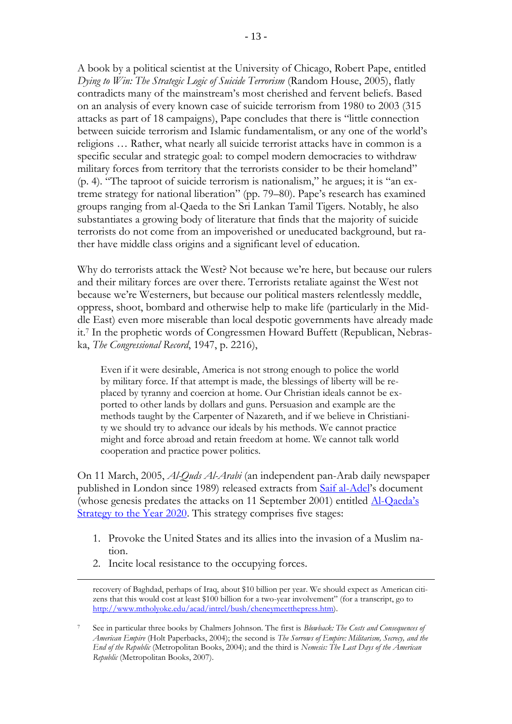A book by a political scientist at the University of Chicago, Robert Pape, entitled *Dying to Win: The Strategic Logic of Suicide Terrorism* (Random House, 2005), flatly contradicts many of the mainstream's most cherished and fervent beliefs. Based on an analysis of every known case of suicide terrorism from 1980 to 2003 (315 attacks as part of 18 campaigns), Pape concludes that there is "little connection between suicide terrorism and Islamic fundamentalism, or any one of the world's religions … Rather, what nearly all suicide terrorist attacks have in common is a specific secular and strategic goal: to compel modern democracies to withdraw military forces from territory that the terrorists consider to be their homeland" (p. 4). "The taproot of suicide terrorism is nationalism," he argues; it is "an extreme strategy for national liberation" (pp. 79–80). Pape's research has examined groups ranging from al-Qaeda to the Sri Lankan Tamil Tigers. Notably, he also substantiates a growing body of literature that finds that the majority of suicide terrorists do not come from an impoverished or uneducated background, but rather have middle class origins and a significant level of education.

Why do terrorists attack the West? Not because we're here, but because our rulers and their military forces are over there. Terrorists retaliate against the West not because we're Westerners, but because our political masters relentlessly meddle, oppress, shoot, bombard and otherwise help to make life (particularly in the Middle East) even more miserable than local despotic governments have already made it. <sup>7</sup> In the prophetic words of Congressmen Howard Buffett (Republican, Nebraska, *The Congressional Record*, 1947, p. 2216),

Even if it were desirable, America is not strong enough to police the world by military force. If that attempt is made, the blessings of liberty will be replaced by tyranny and coercion at home. Our Christian ideals cannot be exported to other lands by dollars and guns. Persuasion and example are the methods taught by the Carpenter of Nazareth, and if we believe in Christianity we should try to advance our ideals by his methods. We cannot practice might and force abroad and retain freedom at home. We cannot talk world cooperation and practice power politics.

On 11 March, 2005, *Al-Quds Al-Arabi* (an independent pan-Arab daily newspaper published in London since 1989) released extracts from [Saif al-Adel](http://en.wikipedia.org/wiki/Saif_al-Adel)'s document (whose genesis predates the attacks on 11 September 2001) entitled Al-[Qaeda's](http://www.jamestown.org/programs/gta/single/fileadmin/templates/favicon.ico)  [Strategy to the Year 2020.](http://www.jamestown.org/programs/gta/single/fileadmin/templates/favicon.ico) This strategy comprises five stages:

- 1. Provoke the United States and its allies into the invasion of a Muslim nation.
- 2. Incite local resistance to the occupying forces.

recovery of Baghdad, perhaps of Iraq, about \$10 billion per year. We should expect as American citizens that this would cost at least \$100 billion for a two-year involvement" (for a transcript, go to [http://www.mtholyoke.edu/acad/intrel/bush/cheneymeetthepress.htm\)](http://www.mtholyoke.edu/acad/intrel/bush/cheneymeetthepress.htm).

<sup>7</sup> See in particular three books by Chalmers Johnson. The first is *Blowback: The Costs and Consequences of American Empire* (Holt Paperbacks, 2004); the second is *The Sorrows of Empire: Militarism, Secrecy, and the End of the Republic* (Metropolitan Books, 2004); and the third is *Nemesis: The Last Days of the American Republic* (Metropolitan Books, 2007).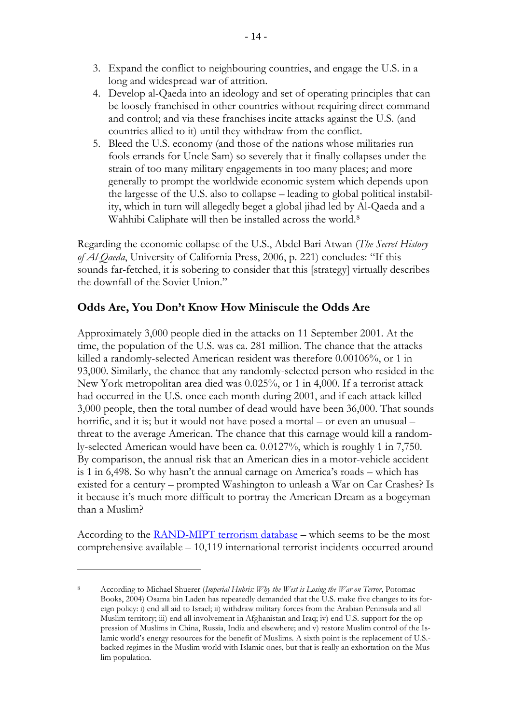- 3. Expand the conflict to neighbouring countries, and engage the U.S. in a long and widespread war of attrition.
- 4. Develop al-Qaeda into an ideology and set of operating principles that can be loosely franchised in other countries without requiring direct command and control; and via these franchises incite attacks against the U.S. (and countries allied to it) until they withdraw from the conflict.
- 5. Bleed the U.S. economy (and those of the nations whose militaries run fools errands for Uncle Sam) so severely that it finally collapses under the strain of too many military engagements in too many places; and more generally to prompt the worldwide economic system which depends upon the largesse of the U.S. also to collapse – leading to global political instability, which in turn will allegedly beget a global jihad led by Al-Qaeda and a Wahhibi Caliphate will then be installed across the world.<sup>8</sup>

Regarding the economic collapse of the U.S., Abdel Bari Atwan (*The Secret History of Al-Qaeda*, University of California Press, 2006, p. 221) concludes: "If this sounds far-fetched, it is sobering to consider that this [strategy] virtually describes the downfall of the Soviet Union."

# **Odds Are, You Don't Know How Miniscule the Odds Are**

Approximately 3,000 people died in the attacks on 11 September 2001. At the time, the population of the U.S. was ca. 281 million. The chance that the attacks killed a randomly-selected American resident was therefore 0.00106%, or 1 in 93,000. Similarly, the chance that any randomly-selected person who resided in the New York metropolitan area died was 0.025%, or 1 in 4,000. If a terrorist attack had occurred in the U.S. once each month during 2001, and if each attack killed 3,000 people, then the total number of dead would have been 36,000. That sounds horrific, and it is; but it would not have posed a mortal – or even an unusual – threat to the average American. The chance that this carnage would kill a randomly-selected American would have been ca. 0.0127%, which is roughly 1 in 7,750. By comparison, the annual risk that an American dies in a motor-vehicle accident is 1 in 6,498. So why hasn't the annual carnage on America's roads – which has existed for a century – prompted Washington to unleash a War on Car Crashes? Is it because it's much more difficult to portray the American Dream as a bogeyman than a Muslim?

According to the [RAND-MIPT terrorism](http://www.rand.org/nsrd/projects/terrorism-incidents.html) database – which seems to be the most comprehensive available – 10,119 international terrorist incidents occurred around

<sup>8</sup> According to Michael Shuerer (*Imperial Hubris: Why the West is Losing the War on Terror*, Potomac Books, 2004) Osama bin Laden has repeatedly demanded that the U.S. make five changes to its foreign policy: i) end all aid to Israel; ii) withdraw military forces from the Arabian Peninsula and all Muslim territory; iii) end all involvement in Afghanistan and Iraq; iv) end U.S. support for the oppression of Muslims in China, Russia, India and elsewhere; and v) restore Muslim control of the Islamic world's energy resources for the benefit of Muslims. A sixth point is the replacement of U.S. backed regimes in the Muslim world with Islamic ones, but that is really an exhortation on the Muslim population.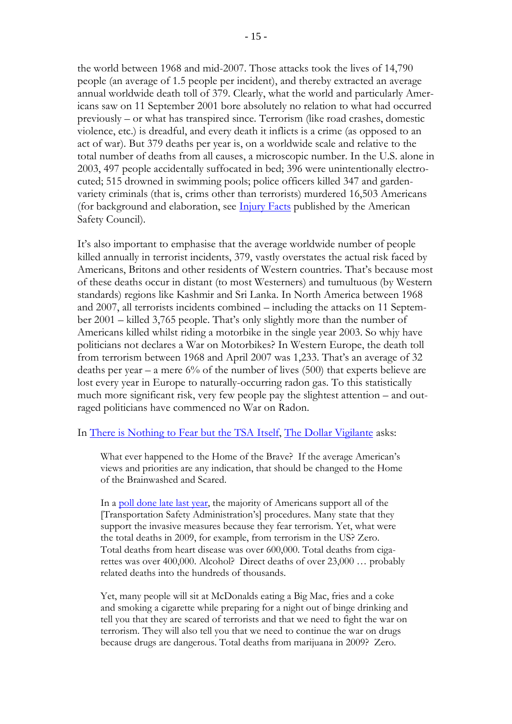the world between 1968 and mid-2007. Those attacks took the lives of 14,790 people (an average of 1.5 people per incident), and thereby extracted an average annual worldwide death toll of 379. Clearly, what the world and particularly Americans saw on 11 September 2001 bore absolutely no relation to what had occurred previously – or what has transpired since. Terrorism (like road crashes, domestic violence, etc.) is dreadful, and every death it inflicts is a crime (as opposed to an act of war). But 379 deaths per year is, on a worldwide scale and relative to the total number of deaths from all causes, a microscopic number. In the U.S. alone in 2003, 497 people accidentally suffocated in bed; 396 were unintentionally electrocuted; 515 drowned in swimming pools; police officers killed 347 and gardenvariety criminals (that is, crims other than terrorists) murdered 16,503 Americans (for background and elaboration, see *Injury Facts* published by the American Safety Council).

It's also important to emphasise that the average worldwide number of people killed annually in terrorist incidents, 379, vastly overstates the actual risk faced by Americans, Britons and other residents of Western countries. That's because most of these deaths occur in distant (to most Westerners) and tumultuous (by Western standards) regions like Kashmir and Sri Lanka. In North America between 1968 and 2007, all terrorists incidents combined – including the attacks on 11 September 2001 – killed 3,765 people. That's only slightly more than the number of Americans killed whilst riding a motorbike in the single year 2003. So whjy have politicians not declares a War on Motorbikes? In Western Europe, the death toll from terrorism between 1968 and April 2007 was 1,233. That's an average of 32 deaths per year – a mere 6% of the number of lives (500) that experts believe are lost every year in Europe to naturally-occurring radon gas. To this statistically much more significant risk, very few people pay the slightest attention – and outraged politicians have commenced no War on Radon.

#### In [There is Nothing to Fear but the TSA](http://www.dollarvigilante.com/blog/2011/7/8/there-is-nothing-to-fear-but-the-tsa-itself.html) Itself, [The Dollar Vigilante](http://www.dollarvigilante.com/) asks:

What ever happened to the Home of the Brave? If the average American's views and priorities are any indication, that should be changed to the Home of the Brainwashed and Scared.

In a [poll done late last year,](http://www.huffingtonpost.com/2010/11/23/poll-public-says-ok-to-ts_n_787523.html) the majority of Americans support all of the [Transportation Safety Administration's] procedures. Many state that they support the invasive measures because they fear terrorism. Yet, what were the total deaths in 2009, for example, from terrorism in the US? Zero. Total deaths from heart disease was over 600,000. Total deaths from cigarettes was over 400,000. Alcohol? Direct deaths of over 23,000 … probably related deaths into the hundreds of thousands.

Yet, many people will sit at McDonalds eating a Big Mac, fries and a coke and smoking a cigarette while preparing for a night out of binge drinking and tell you that they are scared of terrorists and that we need to fight the war on terrorism. They will also tell you that we need to continue the war on drugs because drugs are dangerous. Total deaths from marijuana in 2009? Zero.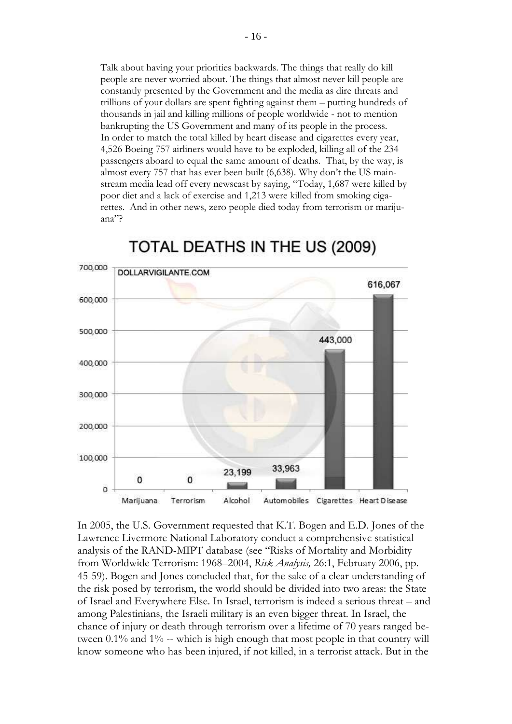Talk about having your priorities backwards. The things that really do kill people are never worried about. The things that almost never kill people are constantly presented by the Government and the media as dire threats and trillions of your dollars are spent fighting against them – putting hundreds of thousands in jail and killing millions of people worldwide - not to mention bankrupting the US Government and many of its people in the process. In order to match the total killed by heart disease and cigarettes every year, 4,526 Boeing 757 airliners would have to be exploded, killing all of the 234 passengers aboard to equal the same amount of deaths. That, by the way, is almost every 757 that has ever been built (6,638). Why don't the US mainstream media lead off every newscast by saying, "Today, 1,687 were killed by poor diet and a lack of exercise and 1,213 were killed from smoking cigarettes. And in other news, zero people died today from terrorism or marijuana"?



TOTAL DEATHS IN THE US (2009)

In 2005, the U.S. Government requested that K.T. Bogen and E.D. Jones of the Lawrence Livermore National Laboratory conduct a comprehensive statistical analysis of the RAND-MIPT database (see "Risks of Mortality and Morbidity from Worldwide Terrorism: 1968–2004, *Risk Analysis,* 26:1, February 2006, pp. 45-59). Bogen and Jones concluded that, for the sake of a clear understanding of the risk posed by terrorism, the world should be divided into two areas: the State of Israel and Everywhere Else. In Israel, terrorism is indeed a serious threat – and among Palestinians, the Israeli military is an even bigger threat. In Israel, the chance of injury or death through terrorism over a lifetime of 70 years ranged between 0.1% and 1% -- which is high enough that most people in that country will know someone who has been injured, if not killed, in a terrorist attack. But in the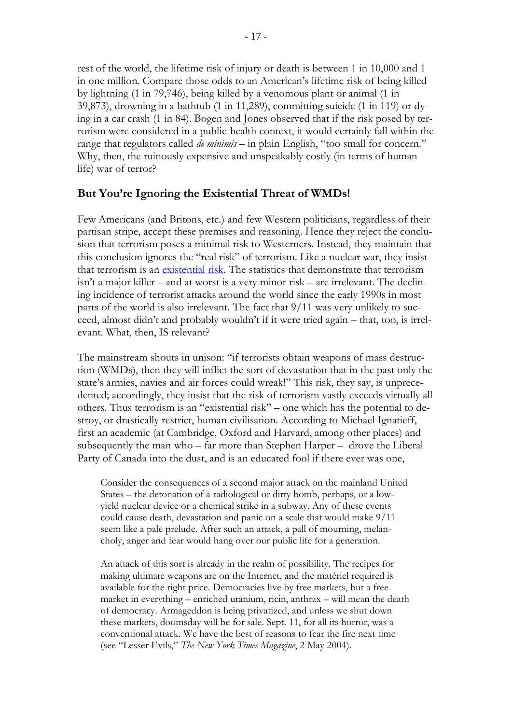rest of the world, the lifetime risk of injury or death is between 1 in 10,000 and 1 in one million. Compare those odds to an American's lifetime risk of being killed by lightning (1 in 79,746), being killed by a venomous plant or animal (1 in 39,873), drowning in a bathtub (1 in 11,289), committing suicide (1 in 119) or dying in a car crash (1 in 84). Bogen and Jones observed that if the risk posed by terrorism were considered in a public-health context, it would certainly fall within the range that regulators called *de minimis* – in plain English, "too small for concern." Why, then, the ruinously expensive and unspeakably costly (in terms of human life) war of terror?

# **But You're Ignoring the Existential Threat of WMDs!**

Few Americans (and Britons, etc.) and few Western politicians, regardless of their partisan stripe, accept these premises and reasoning. Hence they reject the conclusion that terrorism poses a minimal risk to Westerners. Instead, they maintain that this conclusion ignores the "real risk" of terrorism. Like a nuclear war, they insist that terrorism is an [existential risk.](http://en.wikipedia.org/wiki/Existential_risk) The statistics that demonstrate that terrorism isn't a major killer – and at worst is a very minor risk – are irrelevant. The declining incidence of terrorist attacks around the world since the early 1990s in most parts of the world is also irrelevant. The fact that 9/11 was very unlikely to succeed, almost didn't and probably wouldn't if it were tried again – that, too, is irrelevant. What, then, IS relevant?

The mainstream shouts in unison: "if terrorists obtain weapons of mass destruction (WMDs), then they will inflict the sort of devastation that in the past only the state's armies, navies and air forces could wreak!" This risk, they say, is unprecedented; accordingly, they insist that the risk of terrorism vastly exceeds virtually all others. Thus terrorism is an "existential risk" – one which has the potential to destroy, or drastically restrict, human civilisation. According to Michael Ignatieff, first an academic (at Cambridge, Oxford and Harvard, among other places) and subsequently the man who – far more than Stephen Harper – drove the Liberal Party of Canada into the dust, and is an educated fool if there ever was one,

Consider the consequences of a second major attack on the mainland United States – the detonation of a radiological or dirty bomb, perhaps, or a lowyield nuclear device or a chemical strike in a subway. Any of these events could cause death, devastation and panic on a scale that would make 9/11 seem like a pale prelude. After such an attack, a pall of mourning, melancholy, anger and fear would hang over our public life for a generation.

An attack of this sort is already in the realm of possibility. The recipes for making ultimate weapons are on the Internet, and the matériel required is available for the right price. Democracies live by free markets, but a free market in everything – enriched uranium, ricin, anthrax – will mean the death of democracy. Armageddon is being privatized, and unless we shut down these markets, doomsday will be for sale. Sept. 11, for all its horror, was a conventional attack. We have the best of reasons to fear the fire next time (see "Lesser Evils," *The New York Times Magazine*, 2 May 2004).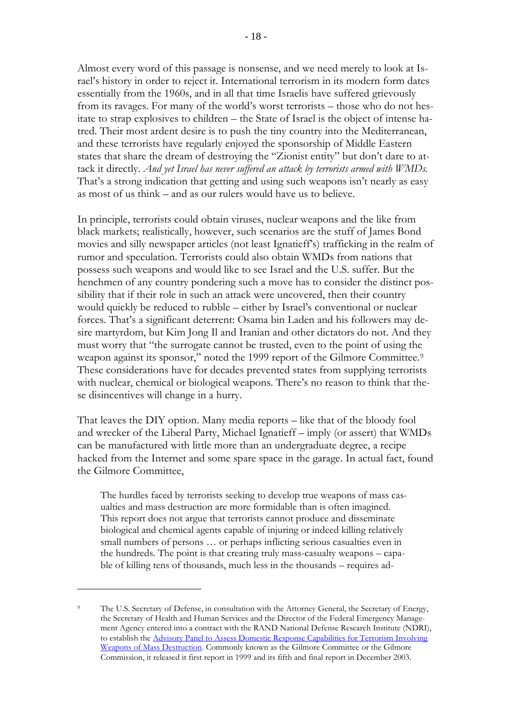Almost every word of this passage is nonsense, and we need merely to look at Israel's history in order to reject it. International terrorism in its modern form dates essentially from the 1960s, and in all that time Israelis have suffered grievously from its ravages. For many of the world's worst terrorists – those who do not hesitate to strap explosives to children – the State of Israel is the object of intense hatred. Their most ardent desire is to push the tiny country into the Mediterranean, and these terrorists have regularly enjoyed the sponsorship of Middle Eastern states that share the dream of destroying the "Zionist entity" but don't dare to attack it directly. *And yet Israel has never suffered an attack by terrorists armed with WMDs.*  That's a strong indication that getting and using such weapons isn't nearly as easy as most of us think – and as our rulers would have us to believe.

In principle, terrorists could obtain viruses, nuclear weapons and the like from black markets; realistically, however, such scenarios are the stuff of James Bond movies and silly newspaper articles (not least Ignatieff's) trafficking in the realm of rumor and speculation. Terrorists could also obtain WMDs from nations that possess such weapons and would like to see Israel and the U.S. suffer. But the henchmen of any country pondering such a move has to consider the distinct possibility that if their role in such an attack were uncovered, then their country would quickly be reduced to rubble – either by Israel's conventional or nuclear forces. That's a significant deterrent: Osama bin Laden and his followers may desire martyrdom, but Kim Jong Il and Iranian and other dictators do not. And they must worry that "the surrogate cannot be trusted, even to the point of using the weapon against its sponsor," noted the 1999 report of the Gilmore Committee.<sup>9</sup> These considerations have for decades prevented states from supplying terrorists with nuclear, chemical or biological weapons. There's no reason to think that these disincentives will change in a hurry.

That leaves the DIY option. Many media reports – like that of the bloody fool and wrecker of the Liberal Party, Michael Ignatieff – imply (or assert) that WMDs can be manufactured with little more than an undergraduate degree, a recipe hacked from the Internet and some spare space in the garage. In actual fact, found the Gilmore Committee,

The hurdles faced by terrorists seeking to develop true weapons of mass casualties and mass destruction are more formidable than is often imagined. This report does not argue that terrorists cannot produce and disseminate biological and chemical agents capable of injuring or indeed killing relatively small numbers of persons … or perhaps inflicting serious casualties even in the hundreds. The point is that creating truly mass-casualty weapons – capable of killing tens of thousands, much less in the thousands – requires ad-

<sup>&</sup>lt;sup>9</sup> The U.S. Secretary of Defense, in consultation with the Attorney General, the Secretary of Energy, the Secretary of Health and Human Services and the Director of the Federal Emergency Management Agency entered into a contract with the RAND National Defense Research Institute (NDRI), to establish the Advisory Panel to Assess Domestic Response Capabilities for Terrorism Involving [Weapons of Mass Destruction.](http://www.rand.org/nsrd/terrpanel.html) Commonly known as the Gilmore Committee or the Gilmore Commission, it released it first report in 1999 and its fifth and final report in December 2003.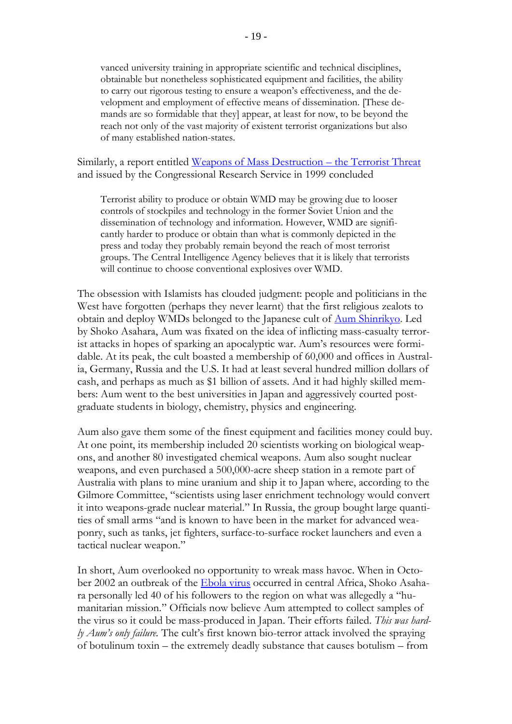vanced university training in appropriate scientific and technical disciplines, obtainable but nonetheless sophisticated equipment and facilities, the ability to carry out rigorous testing to ensure a weapon's effectiveness, and the development and employment of effective means of dissemination. [These demands are so formidable that they] appear, at least for now, to be beyond the reach not only of the vast majority of existent terrorist organizations but also of many established nation-states.

Similarly, a report entitled [Weapons of Mass Destruction](http://www.au.af.mil/au/awc/awcgate/crs/rs20412.pdf) – the Terrorist Threat and issued by the Congressional Research Service in 1999 concluded

Terrorist ability to produce or obtain WMD may be growing due to looser controls of stockpiles and technology in the former Soviet Union and the dissemination of technology and information. However, WMD are significantly harder to produce or obtain than what is commonly depicted in the press and today they probably remain beyond the reach of most terrorist groups. The Central Intelligence Agency believes that it is likely that terrorists will continue to choose conventional explosives over WMD.

The obsession with Islamists has clouded judgment: people and politicians in the West have forgotten (perhaps they never learnt) that the first religious zealots to obtain and deploy WMDs belonged to the Japanese cult of [Aum Shinrikyo.](http://en.wikipedia.org/wiki/Aum_Shinrikyo) Led by Shoko Asahara, Aum was fixated on the idea of inflicting mass-casualty terrorist attacks in hopes of sparking an apocalyptic war. Aum's resources were formidable. At its peak, the cult boasted a membership of 60,000 and offices in Australia, Germany, Russia and the U.S. It had at least several hundred million dollars of cash, and perhaps as much as \$1 billion of assets. And it had highly skilled members: Aum went to the best universities in Japan and aggressively courted postgraduate students in biology, chemistry, physics and engineering.

Aum also gave them some of the finest equipment and facilities money could buy. At one point, its membership included 20 scientists working on biological weapons, and another 80 investigated chemical weapons. Aum also sought nuclear weapons, and even purchased a 500,000-acre sheep station in a remote part of Australia with plans to mine uranium and ship it to Japan where, according to the Gilmore Committee, "scientists using laser enrichment technology would convert it into weapons-grade nuclear material." In Russia, the group bought large quantities of small arms "and is known to have been in the market for advanced weaponry, such as tanks, jet fighters, surface-to-surface rocket launchers and even a tactical nuclear weapon."

In short, Aum overlooked no opportunity to wreak mass havoc. When in October 2002 an outbreak of the [Ebola virus](http://en.wikipedia.org/wiki/Ebola) occurred in central Africa, Shoko Asahara personally led 40 of his followers to the region on what was allegedly a "humanitarian mission." Officials now believe Aum attempted to collect samples of the virus so it could be mass-produced in Japan. Their efforts failed. *This was hardly Aum's only failure.* The cult's first known bio-terror attack involved the spraying of botulinum toxin – the extremely deadly substance that causes botulism – from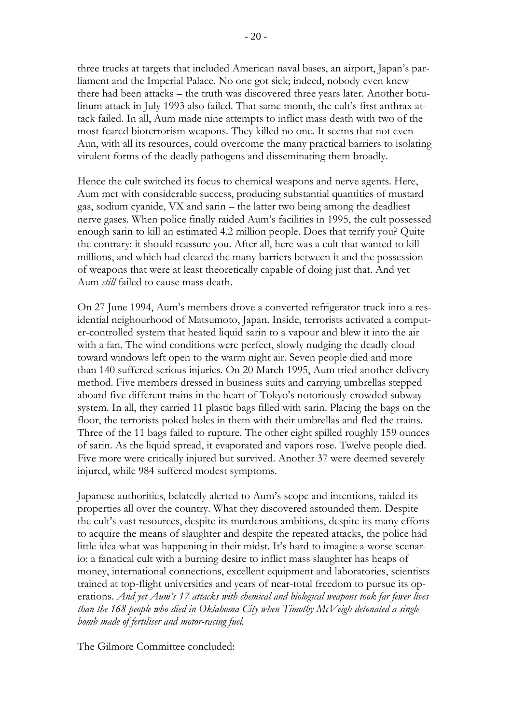three trucks at targets that included American naval bases, an airport, Japan's parliament and the Imperial Palace. No one got sick; indeed, nobody even knew there had been attacks – the truth was discovered three years later. Another botulinum attack in July 1993 also failed. That same month, the cult's first anthrax attack failed. In all, Aum made nine attempts to inflict mass death with two of the most feared bioterrorism weapons. They killed no one. It seems that not even Aun, with all its resources, could overcome the many practical barriers to isolating virulent forms of the deadly pathogens and disseminating them broadly.

Hence the cult switched its focus to chemical weapons and nerve agents. Here, Aum met with considerable success, producing substantial quantities of mustard gas, sodium cyanide, VX and sarin – the latter two being among the deadliest nerve gases. When police finally raided Aum's facilities in 1995, the cult possessed enough sarin to kill an estimated 4.2 million people. Does that terrify you? Quite the contrary: it should reassure you. After all, here was a cult that wanted to kill millions, and which had cleared the many barriers between it and the possession of weapons that were at least theoretically capable of doing just that. And yet Aum *still* failed to cause mass death.

On 27 June 1994, Aum's members drove a converted refrigerator truck into a residential neighourhood of Matsumoto, Japan. Inside, terrorists activated a computer-controlled system that heated liquid sarin to a vapour and blew it into the air with a fan. The wind conditions were perfect, slowly nudging the deadly cloud toward windows left open to the warm night air. Seven people died and more than 140 suffered serious injuries. On 20 March 1995, Aum tried another delivery method. Five members dressed in business suits and carrying umbrellas stepped aboard five different trains in the heart of Tokyo's notoriously-crowded subway system. In all, they carried 11 plastic bags filled with sarin. Placing the bags on the floor, the terrorists poked holes in them with their umbrellas and fled the trains. Three of the 11 bags failed to rupture. The other eight spilled roughly 159 ounces of sarin. As the liquid spread, it evaporated and vapors rose. Twelve people died. Five more were critically injured but survived. Another 37 were deemed severely injured, while 984 suffered modest symptoms.

Japanese authorities, belatedly alerted to Aum's scope and intentions, raided its properties all over the country. What they discovered astounded them. Despite the cult's vast resources, despite its murderous ambitions, despite its many efforts to acquire the means of slaughter and despite the repeated attacks, the police had little idea what was happening in their midst. It's hard to imagine a worse scenario: a fanatical cult with a burning desire to inflict mass slaughter has heaps of money, international connections, excellent equipment and laboratories, scientists trained at top-flight universities and years of near-total freedom to pursue its operations. *And yet Aum's 17 attacks with chemical and biological weapons took far fewer lives than the 168 people who died in Oklahoma City when Timothy McVeigh detonated a single bomb made of fertiliser and motor-racing fuel.*

The Gilmore Committee concluded: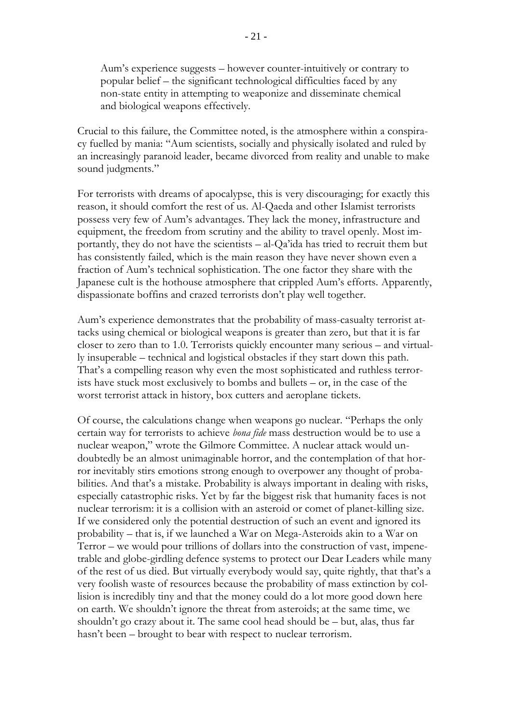Aum's experience suggests – however counter-intuitively or contrary to popular belief – the significant technological difficulties faced by any non-state entity in attempting to weaponize and disseminate chemical and biological weapons effectively.

Crucial to this failure, the Committee noted, is the atmosphere within a conspiracy fuelled by mania: "Aum scientists, socially and physically isolated and ruled by an increasingly paranoid leader, became divorced from reality and unable to make sound judgments."

For terrorists with dreams of apocalypse, this is very discouraging; for exactly this reason, it should comfort the rest of us. Al-Qaeda and other Islamist terrorists possess very few of Aum's advantages. They lack the money, infrastructure and equipment, the freedom from scrutiny and the ability to travel openly. Most importantly, they do not have the scientists  $-$  al-Qa'ida has tried to recruit them but has consistently failed, which is the main reason they have never shown even a fraction of Aum's technical sophistication. The one factor they share with the Japanese cult is the hothouse atmosphere that crippled Aum's efforts. Apparently, dispassionate boffins and crazed terrorists don't play well together.

Aum's experience demonstrates that the probability of mass-casualty terrorist attacks using chemical or biological weapons is greater than zero, but that it is far closer to zero than to 1.0. Terrorists quickly encounter many serious – and virtually insuperable – technical and logistical obstacles if they start down this path. That's a compelling reason why even the most sophisticated and ruthless terrorists have stuck most exclusively to bombs and bullets – or, in the case of the worst terrorist attack in history, box cutters and aeroplane tickets.

Of course, the calculations change when weapons go nuclear. "Perhaps the only certain way for terrorists to achieve *bona fide* mass destruction would be to use a nuclear weapon," wrote the Gilmore Committee. A nuclear attack would undoubtedly be an almost unimaginable horror, and the contemplation of that horror inevitably stirs emotions strong enough to overpower any thought of probabilities. And that's a mistake. Probability is always important in dealing with risks, especially catastrophic risks. Yet by far the biggest risk that humanity faces is not nuclear terrorism: it is a collision with an asteroid or comet of planet-killing size. If we considered only the potential destruction of such an event and ignored its probability – that is, if we launched a War on Mega-Asteroids akin to a War on Terror – we would pour trillions of dollars into the construction of vast, impenetrable and globe-girdling defence systems to protect our Dear Leaders while many of the rest of us died. But virtually everybody would say, quite rightly, that that's a very foolish waste of resources because the probability of mass extinction by collision is incredibly tiny and that the money could do a lot more good down here on earth. We shouldn't ignore the threat from asteroids; at the same time, we shouldn't go crazy about it. The same cool head should be – but, alas, thus far hasn't been – brought to bear with respect to nuclear terrorism.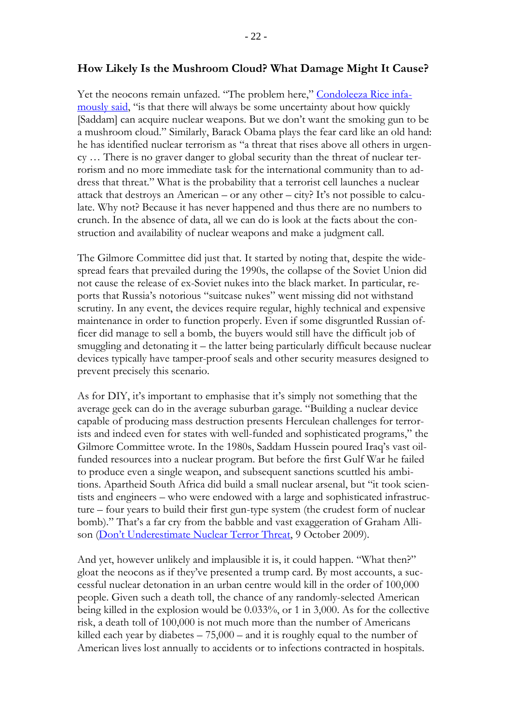# **How Likely Is the Mushroom Cloud? What Damage Might It Cause?**

Yet the neocons remain unfazed. "The problem here," [Condoleeza Rice](http://books.google.com.au/books?id=1IdjatjdBBwC&pg=PA6&lpg=PA6&dq=Condoleezza+Rice+%E2%80%9CThe+problem+here+is+that+there+will+always+be+some+uncertainty+about+how+quickly+Saddam+can+acquire+nuclear+weapons.+But+we+don%E2%80%99t+want+the+smoking+gun+to+be+a+mushroom+cloud%E2%80%9D&source=bl&ots=PhEg_bTw13&sig=mxNQiv_Oark2dGvLli7hjj0gx_o&hl=en&ei=wABLTviHGeGHmQW_xND0Bw&sa=X&oi=book_result&ct=result&resnum=6&ved=0CD4Q6AEwBQ) infa[mously said](http://books.google.com.au/books?id=1IdjatjdBBwC&pg=PA6&lpg=PA6&dq=Condoleezza+Rice+%E2%80%9CThe+problem+here+is+that+there+will+always+be+some+uncertainty+about+how+quickly+Saddam+can+acquire+nuclear+weapons.+But+we+don%E2%80%99t+want+the+smoking+gun+to+be+a+mushroom+cloud%E2%80%9D&source=bl&ots=PhEg_bTw13&sig=mxNQiv_Oark2dGvLli7hjj0gx_o&hl=en&ei=wABLTviHGeGHmQW_xND0Bw&sa=X&oi=book_result&ct=result&resnum=6&ved=0CD4Q6AEwBQ), "is that there will always be some uncertainty about how quickly [Saddam] can acquire nuclear weapons. But we don't want the smoking gun to be a mushroom cloud." Similarly, Barack Obama plays the fear card like an old hand: he has identified nuclear terrorism as "a threat that rises above all others in urgency … There is no graver danger to global security than the threat of nuclear terrorism and no more immediate task for the international community than to address that threat." What is the probability that a terrorist cell launches a nuclear attack that destroys an American – or any other – city? It's not possible to calculate. Why not? Because it has never happened and thus there are no numbers to crunch. In the absence of data, all we can do is look at the facts about the construction and availability of nuclear weapons and make a judgment call.

The Gilmore Committee did just that. It started by noting that, despite the widespread fears that prevailed during the 1990s, the collapse of the Soviet Union did not cause the release of ex-Soviet nukes into the black market. In particular, reports that Russia's notorious "suitcase nukes" went missing did not withstand scrutiny. In any event, the devices require regular, highly technical and expensive maintenance in order to function properly. Even if some disgruntled Russian officer did manage to sell a bomb, the buyers would still have the difficult job of smuggling and detonating it – the latter being particularly difficult because nuclear devices typically have tamper-proof seals and other security measures designed to prevent precisely this scenario.

As for DIY, it's important to emphasise that it's simply not something that the average geek can do in the average suburban garage. "Building a nuclear device capable of producing mass destruction presents Herculean challenges for terrorists and indeed even for states with well-funded and sophisticated programs," the Gilmore Committee wrote. In the 1980s, Saddam Hussein poured Iraq's vast oilfunded resources into a nuclear program. But before the first Gulf War he failed to produce even a single weapon, and subsequent sanctions scuttled his ambitions. Apartheid South Africa did build a small nuclear arsenal, but "it took scientists and engineers – who were endowed with a large and sophisticated infrastructure – four years to build their first gun-type system (the crudest form of nuclear bomb)." That's a far cry from the babble and vast exaggeration of Graham Allison ([Don't Underestimate Nuclear Terror Threat](http://www.hks.harvard.edu/news-events/news/commentary/don-underestimate-nuclear-terror), 9 October 2009).

And yet, however unlikely and implausible it is, it could happen. "What then?" gloat the neocons as if they've presented a trump card. By most accounts, a successful nuclear detonation in an urban centre would kill in the order of 100,000 people. Given such a death toll, the chance of any randomly-selected American being killed in the explosion would be 0.033%, or 1 in 3,000. As for the collective risk, a death toll of 100,000 is not much more than the number of Americans killed each year by diabetes  $-75,000$  – and it is roughly equal to the number of American lives lost annually to accidents or to infections contracted in hospitals.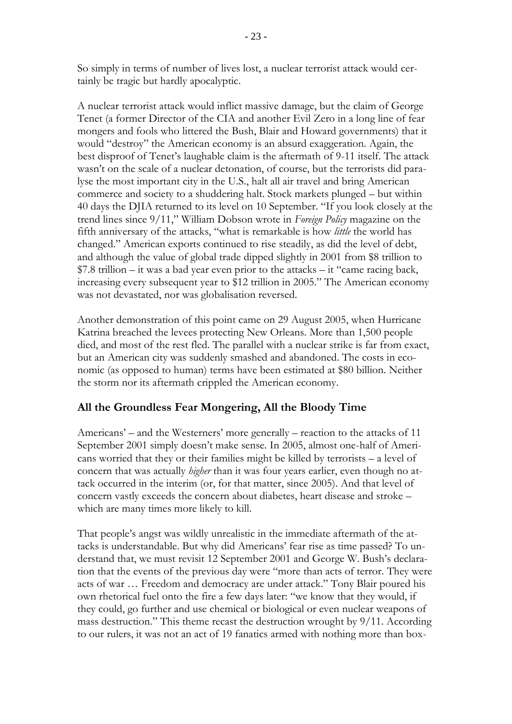So simply in terms of number of lives lost, a nuclear terrorist attack would certainly be tragic but hardly apocalyptic.

A nuclear terrorist attack would inflict massive damage, but the claim of George Tenet (a former Director of the CIA and another Evil Zero in a long line of fear mongers and fools who littered the Bush, Blair and Howard governments) that it would "destroy" the American economy is an absurd exaggeration. Again, the best disproof of Tenet's laughable claim is the aftermath of 9-11 itself. The attack wasn't on the scale of a nuclear detonation, of course, but the terrorists did paralyse the most important city in the U.S., halt all air travel and bring American commerce and society to a shuddering halt. Stock markets plunged – but within 40 days the DJIA returned to its level on 10 September. "If you look closely at the trend lines since 9/11," William Dobson wrote in *Foreign Policy* magazine on the fifth anniversary of the attacks, "what is remarkable is how *little* the world has changed." American exports continued to rise steadily, as did the level of debt, and although the value of global trade dipped slightly in 2001 from \$8 trillion to \$7.8 trillion – it was a bad year even prior to the attacks – it "came racing back, increasing every subsequent year to \$12 trillion in 2005." The American economy was not devastated, nor was globalisation reversed.

Another demonstration of this point came on 29 August 2005, when Hurricane Katrina breached the levees protecting New Orleans. More than 1,500 people died, and most of the rest fled. The parallel with a nuclear strike is far from exact, but an American city was suddenly smashed and abandoned. The costs in economic (as opposed to human) terms have been estimated at \$80 billion. Neither the storm nor its aftermath crippled the American economy.

# **All the Groundless Fear Mongering, All the Bloody Time**

Americans' – and the Westerners' more generally – reaction to the attacks of 11 September 2001 simply doesn't make sense. In 2005, almost one-half of Americans worried that they or their families might be killed by terrorists – a level of concern that was actually *higher* than it was four years earlier, even though no attack occurred in the interim (or, for that matter, since 2005). And that level of concern vastly exceeds the concern about diabetes, heart disease and stroke – which are many times more likely to kill.

That people's angst was wildly unrealistic in the immediate aftermath of the attacks is understandable. But why did Americans' fear rise as time passed? To understand that, we must revisit 12 September 2001 and George W. Bush's declaration that the events of the previous day were "more than acts of terror. They were acts of war … Freedom and democracy are under attack." Tony Blair poured his own rhetorical fuel onto the fire a few days later: "we know that they would, if they could, go further and use chemical or biological or even nuclear weapons of mass destruction." This theme recast the destruction wrought by 9/11. According to our rulers, it was not an act of 19 fanatics armed with nothing more than box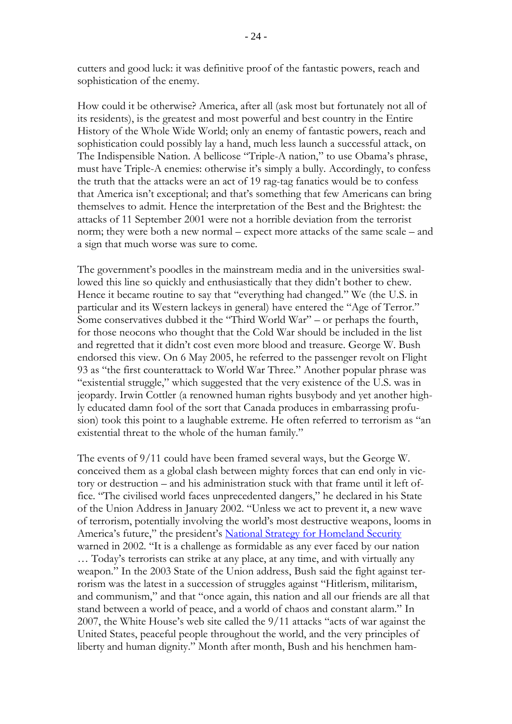cutters and good luck: it was definitive proof of the fantastic powers, reach and sophistication of the enemy.

How could it be otherwise? America, after all (ask most but fortunately not all of its residents), is the greatest and most powerful and best country in the Entire History of the Whole Wide World; only an enemy of fantastic powers, reach and sophistication could possibly lay a hand, much less launch a successful attack, on The Indispensible Nation. A bellicose "Triple-A nation," to use Obama's phrase, must have Triple-A enemies: otherwise it's simply a bully. Accordingly, to confess the truth that the attacks were an act of 19 rag-tag fanatics would be to confess that America isn't exceptional; and that's something that few Americans can bring themselves to admit. Hence the interpretation of the Best and the Brightest: the attacks of 11 September 2001 were not a horrible deviation from the terrorist norm; they were both a new normal – expect more attacks of the same scale – and a sign that much worse was sure to come.

The government's poodles in the mainstream media and in the universities swallowed this line so quickly and enthusiastically that they didn't bother to chew. Hence it became routine to say that "everything had changed." We (the U.S. in particular and its Western lackeys in general) have entered the "Age of Terror." Some conservatives dubbed it the "Third World War" – or perhaps the fourth, for those neocons who thought that the Cold War should be included in the list and regretted that it didn't cost even more blood and treasure. George W. Bush endorsed this view. On 6 May 2005, he referred to the passenger revolt on Flight 93 as "the first counterattack to World War Three." Another popular phrase was "existential struggle," which suggested that the very existence of the U.S. was in jeopardy. Irwin Cottler (a renowned human rights busybody and yet another highly educated damn fool of the sort that Canada produces in embarrassing profusion) took this point to a laughable extreme. He often referred to terrorism as "an existential threat to the whole of the human family."

The events of 9/11 could have been framed several ways, but the George W. conceived them as a global clash between mighty forces that can end only in victory or destruction – and his administration stuck with that frame until it left office. "The civilised world faces unprecedented dangers," he declared in his State of the Union Address in January 2002. "Unless we act to prevent it, a new wave of terrorism, potentially involving the world's most destructive weapons, looms in America's future," the president's [National Strategy for Homeland Security](http://www.ncs.gov/library/policy_docs/nat_strat_hls.pdf) warned in 2002. "It is a challenge as formidable as any ever faced by our nation … Today's terrorists can strike at any place, at any time, and with virtually any weapon." In the 2003 State of the Union address, Bush said the fight against terrorism was the latest in a succession of struggles against "Hitlerism, militarism, and communism," and that "once again, this nation and all our friends are all that stand between a world of peace, and a world of chaos and constant alarm." In 2007, the White House's web site called the 9/11 attacks "acts of war against the United States, peaceful people throughout the world, and the very principles of liberty and human dignity." Month after month, Bush and his henchmen ham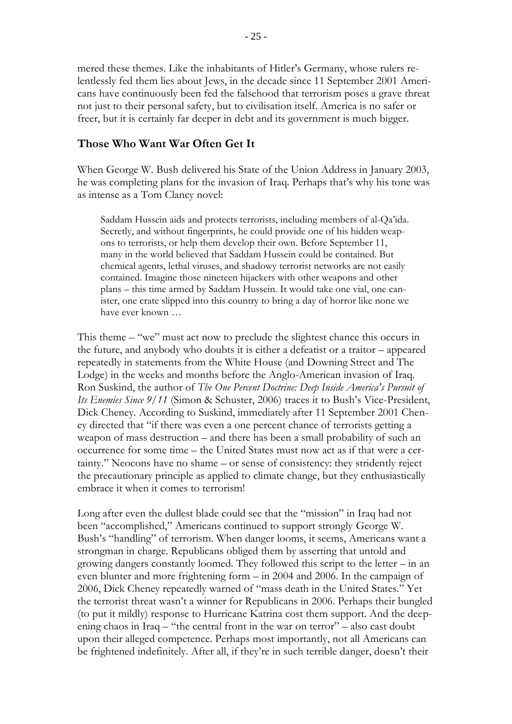mered these themes. Like the inhabitants of Hitler's Germany, whose rulers relentlessly fed them lies about Jews, in the decade since 11 September 2001 Americans have continuously been fed the falsehood that terrorism poses a grave threat not just to their personal safety, but to civilisation itself. America is no safer or freer, but it is certainly far deeper in debt and its government is much bigger.

#### **Those Who Want War Often Get It**

When George W. Bush delivered his State of the Union Address in January 2003, he was completing plans for the invasion of Iraq. Perhaps that's why his tone was as intense as a Tom Clancy novel:

Saddam Hussein aids and protects terrorists, including members of al-Qa'ida. Secretly, and without fingerprints, he could provide one of his hidden weapons to terrorists, or help them develop their own. Before September 11, many in the world believed that Saddam Hussein could be contained. But chemical agents, lethal viruses, and shadowy terrorist networks are not easily contained. Imagine those nineteen hijackers with other weapons and other plans – this time armed by Saddam Hussein. It would take one vial, one canister, one crate slipped into this country to bring a day of horror like none we have ever known …

This theme – "we" must act now to preclude the slightest chance this occurs in the future, and anybody who doubts it is either a defeatist or a traitor – appeared repeatedly in statements from the White House (and Downing Street and The Lodge) in the weeks and months before the Anglo-American invasion of Iraq. Ron Suskind, the author of *The One Percent Doctrine: Deep Inside America's Pursuit of Its Enemies Since 9/11* (Simon & Schuster, 2006) traces it to Bush's Vice-President, Dick Cheney. According to Suskind, immediately after 11 September 2001 Cheney directed that "if there was even a one percent chance of terrorists getting a weapon of mass destruction – and there has been a small probability of such an occurrence for some time – the United States must now act as if that were a certainty." Neocons have no shame – or sense of consistency: they stridently reject the precautionary principle as applied to climate change, but they enthusiastically embrace it when it comes to terrorism!

Long after even the dullest blade could see that the "mission" in Iraq had not been "accomplished," Americans continued to support strongly George W. Bush's "handling" of terrorism. When danger looms, it seems, Americans want a strongman in charge. Republicans obliged them by asserting that untold and growing dangers constantly loomed. They followed this script to the letter – in an even blunter and more frightening form – in 2004 and 2006. In the campaign of 2006, Dick Cheney repeatedly warned of "mass death in the United States." Yet the terrorist threat wasn't a winner for Republicans in 2006. Perhaps their bungled (to put it mildly) response to Hurricane Katrina cost them support. And the deepening chaos in Iraq – "the central front in the war on terror" – also cast doubt upon their alleged competence. Perhaps most importantly, not all Americans can be frightened indefinitely. After all, if they're in such terrible danger, doesn't their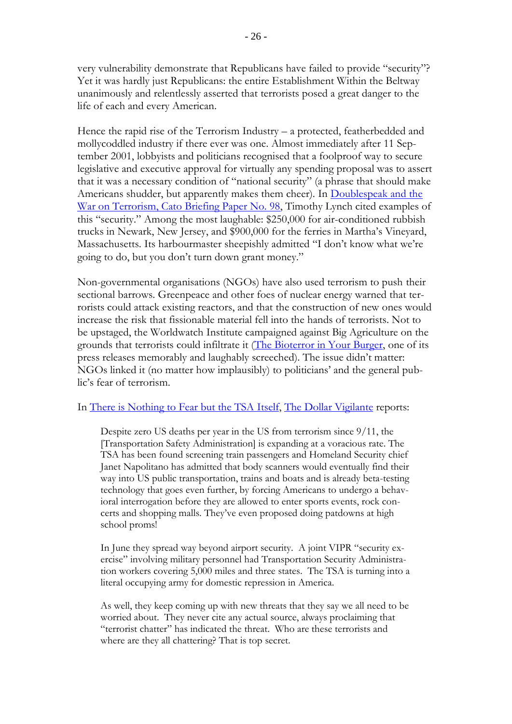very vulnerability demonstrate that Republicans have failed to provide "security"? Yet it was hardly just Republicans: the entire Establishment Within the Beltway unanimously and relentlessly asserted that terrorists posed a great danger to the life of each and every American.

Hence the rapid rise of the Terrorism Industry – a protected, featherbedded and mollycoddled industry if there ever was one. Almost immediately after 11 September 2001, lobbyists and politicians recognised that a foolproof way to secure legislative and executive approval for virtually any spending proposal was to assert that it was a necessary condition of "national security" (a phrase that should make Americans shudder, but apparently makes them cheer). In [Doublespeak and the](http://www.scribd.com/doc/13673474/-Doublespeak-and-the-War-on-Terrorism-Cato-Briefing-Paper-No-98-)  [War on Terrorism, Cato Briefing Paper No. 98,](http://www.scribd.com/doc/13673474/-Doublespeak-and-the-War-on-Terrorism-Cato-Briefing-Paper-No-98-) Timothy Lynch cited examples of this "security." Among the most laughable: \$250,000 for air-conditioned rubbish trucks in Newark, New Jersey, and \$900,000 for the ferries in Martha's Vineyard, Massachusetts. Its harbourmaster sheepishly admitted "I don't know what we're going to do, but you don't turn down grant money."

Non-governmental organisations (NGOs) have also used terrorism to push their sectional barrows. Greenpeace and other foes of nuclear energy warned that terrorists could attack existing reactors, and that the construction of new ones would increase the risk that fissionable material fell into the hands of terrorists. Not to be upstaged, the Worldwatch Institute campaigned against Big Agriculture on the grounds that terrorists could infiltrate it [\(The Bioterror in Your Burger,](http://www.alkalizeforhealth.net/Lbioterror.htm) one of its press releases memorably and laughably screeched). The issue didn't matter: NGOs linked it (no matter how implausibly) to politicians' and the general public's fear of terrorism.

#### In [There is Nothing to Fear but the TSA](http://www.dollarvigilante.com/blog/2011/7/8/there-is-nothing-to-fear-but-the-tsa-itself.html) Itself, [The Dollar Vigilante](http://www.dollarvigilante.com/) reports:

Despite zero US deaths per year in the US from terrorism since 9/11, the [Transportation Safety Administration] is expanding at a voracious rate. The TSA has been found screening train passengers and Homeland Security chief Janet Napolitano has admitted that body scanners would eventually find their way into US public transportation, trains and boats and is already beta-testing technology that goes even further, by forcing Americans to undergo a behavioral interrogation before they are allowed to enter sports events, rock concerts and shopping malls. They've even proposed doing patdowns at high school proms!

In June they spread way beyond airport security. A joint VIPR "security exercise" involving military personnel had Transportation Security Administration workers covering 5,000 miles and three states. The TSA is turning into a literal occupying army for domestic repression in America.

As well, they keep coming up with new threats that they say we all need to be worried about. They never cite any actual source, always proclaiming that "terrorist chatter" has indicated the threat. Who are these terrorists and where are they all chattering? That is top secret.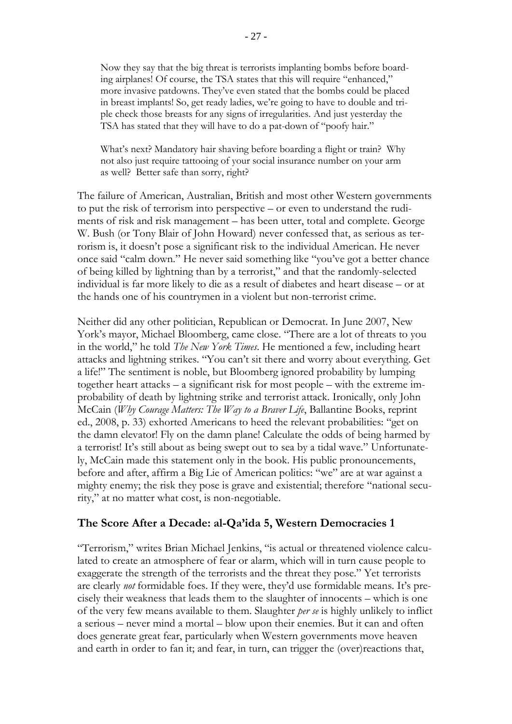Now they say that the big threat is terrorists implanting bombs before boarding airplanes! Of course, the TSA states that this will require "enhanced," more invasive patdowns. They've even stated that the bombs could be placed in breast implants! So, get ready ladies, we're going to have to double and triple check those breasts for any signs of irregularities. And just yesterday the TSA has stated that they will have to do a pat-down of "poofy hair."

What's next? Mandatory hair shaving before boarding a flight or train? Why not also just require tattooing of your social insurance number on your arm as well? Better safe than sorry, right?

The failure of American, Australian, British and most other Western governments to put the risk of terrorism into perspective – or even to understand the rudiments of risk and risk management – has been utter, total and complete. George W. Bush (or Tony Blair of John Howard) never confessed that, as serious as terrorism is, it doesn't pose a significant risk to the individual American. He never once said "calm down." He never said something like "you've got a better chance of being killed by lightning than by a terrorist," and that the randomly-selected individual is far more likely to die as a result of diabetes and heart disease – or at the hands one of his countrymen in a violent but non-terrorist crime.

Neither did any other politician, Republican or Democrat. In June 2007, New York's mayor, Michael Bloomberg, came close. "There are a lot of threats to you in the world," he told *The New York Times*. He mentioned a few, including heart attacks and lightning strikes. "You can't sit there and worry about everything. Get a life!" The sentiment is noble, but Bloomberg ignored probability by lumping together heart attacks – a significant risk for most people – with the extreme improbability of death by lightning strike and terrorist attack. Ironically, only John McCain (*Why Courage Matters: The Way to a Braver Life*, Ballantine Books, reprint ed., 2008, p. 33) exhorted Americans to heed the relevant probabilities: "get on the damn elevator! Fly on the damn plane! Calculate the odds of being harmed by a terrorist! It's still about as being swept out to sea by a tidal wave." Unfortunately, McCain made this statement only in the book. His public pronouncements, before and after, affirm a Big Lie of American politics: "we" are at war against a mighty enemy; the risk they pose is grave and existential; therefore "national security," at no matter what cost, is non-negotiable.

#### **The Score After a Decade: al-Qa'ida 5, Western Democracies 1**

"Terrorism," writes Brian Michael Jenkins, "is actual or threatened violence calculated to create an atmosphere of fear or alarm, which will in turn cause people to exaggerate the strength of the terrorists and the threat they pose." Yet terrorists are clearly *not* formidable foes. If they were, they'd use formidable means. It's precisely their weakness that leads them to the slaughter of innocents – which is one of the very few means available to them. Slaughter *per se* is highly unlikely to inflict a serious – never mind a mortal – blow upon their enemies. But it can and often does generate great fear, particularly when Western governments move heaven and earth in order to fan it; and fear, in turn, can trigger the (over)reactions that,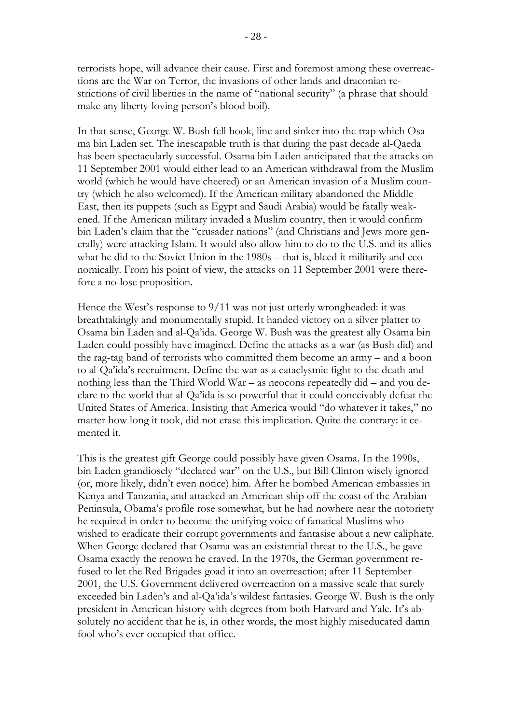terrorists hope, will advance their cause. First and foremost among these overreactions are the War on Terror, the invasions of other lands and draconian restrictions of civil liberties in the name of "national security" (a phrase that should make any liberty-loving person's blood boil).

In that sense, George W. Bush fell hook, line and sinker into the trap which Osama bin Laden set. The inescapable truth is that during the past decade al-Qaeda has been spectacularly successful. Osama bin Laden anticipated that the attacks on 11 September 2001 would either lead to an American withdrawal from the Muslim world (which he would have cheered) or an American invasion of a Muslim country (which he also welcomed). If the American military abandoned the Middle East, then its puppets (such as Egypt and Saudi Arabia) would be fatally weakened. If the American military invaded a Muslim country, then it would confirm bin Laden's claim that the "crusader nations" (and Christians and Jews more generally) were attacking Islam. It would also allow him to do to the U.S. and its allies what he did to the Soviet Union in the 1980s – that is, bleed it militarily and economically. From his point of view, the attacks on 11 September 2001 were therefore a no-lose proposition.

Hence the West's response to 9/11 was not just utterly wrongheaded: it was breathtakingly and monumentally stupid. It handed victory on a silver platter to Osama bin Laden and al-Qa'ida. George W. Bush was the greatest ally Osama bin Laden could possibly have imagined. Define the attacks as a war (as Bush did) and the rag-tag band of terrorists who committed them become an army – and a boon to al-Qa'ida's recruitment. Define the war as a cataclysmic fight to the death and nothing less than the Third World War – as neocons repeatedly did – and you declare to the world that al-Qa'ida is so powerful that it could conceivably defeat the United States of America. Insisting that America would "do whatever it takes," no matter how long it took, did not erase this implication. Quite the contrary: it cemented it.

This is the greatest gift George could possibly have given Osama. In the 1990s, bin Laden grandiosely "declared war" on the U.S., but Bill Clinton wisely ignored (or, more likely, didn't even notice) him. After he bombed American embassies in Kenya and Tanzania, and attacked an American ship off the coast of the Arabian Peninsula, Obama's profile rose somewhat, but he had nowhere near the notoriety he required in order to become the unifying voice of fanatical Muslims who wished to eradicate their corrupt governments and fantasise about a new caliphate. When George declared that Osama was an existential threat to the U.S., he gave Osama exactly the renown he craved. In the 1970s, the German government refused to let the Red Brigades goad it into an overreaction; after 11 September 2001, the U.S. Government delivered overreaction on a massive scale that surely exceeded bin Laden's and al-Qa'ida's wildest fantasies. George W. Bush is the only president in American history with degrees from both Harvard and Yale. It's absolutely no accident that he is, in other words, the most highly miseducated damn fool who's ever occupied that office.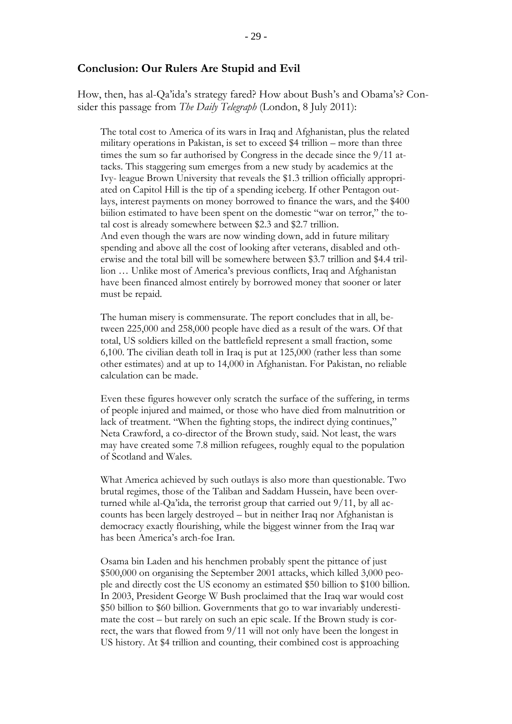#### **Conclusion: Our Rulers Are Stupid and Evil**

How, then, has al-Qa'ida's strategy fared? How about Bush's and Obama's? Consider this passage from *The Daily Telegraph* (London, 8 July 2011):

The total cost to America of its wars in Iraq and Afghanistan, plus the related military operations in Pakistan, is set to exceed \$4 trillion – more than three times the sum so far authorised by Congress in the decade since the 9/11 attacks. This staggering sum emerges from a new study by academics at the Ivy- league Brown University that reveals the \$1.3 trillion officially appropriated on Capitol Hill is the tip of a spending iceberg. If other Pentagon outlays, interest payments on money borrowed to finance the wars, and the \$400 biilion estimated to have been spent on the domestic "war on terror," the total cost is already somewhere between \$2.3 and \$2.7 trillion. And even though the wars are now winding down, add in future military spending and above all the cost of looking after veterans, disabled and otherwise and the total bill will be somewhere between \$3.7 trillion and \$4.4 trillion … Unlike most of America's previous conflicts, Iraq and Afghanistan have been financed almost entirely by borrowed money that sooner or later must be repaid.

The human misery is commensurate. The report concludes that in all, between 225,000 and 258,000 people have died as a result of the wars. Of that total, US soldiers killed on the battlefield represent a small fraction, some 6,100. The civilian death toll in Iraq is put at 125,000 (rather less than some other estimates) and at up to 14,000 in Afghanistan. For Pakistan, no reliable calculation can be made.

Even these figures however only scratch the surface of the suffering, in terms of people injured and maimed, or those who have died from malnutrition or lack of treatment. "When the fighting stops, the indirect dying continues," Neta Crawford, a co-director of the Brown study, said. Not least, the wars may have created some 7.8 million refugees, roughly equal to the population of Scotland and Wales.

What America achieved by such outlays is also more than questionable. Two brutal regimes, those of the Taliban and Saddam Hussein, have been overturned while al-Qa'ida, the terrorist group that carried out 9/11, by all accounts has been largely destroyed – but in neither Iraq nor Afghanistan is democracy exactly flourishing, while the biggest winner from the Iraq war has been America's arch-foe Iran.

Osama bin Laden and his henchmen probably spent the pittance of just \$500,000 on organising the September 2001 attacks, which killed 3,000 people and directly cost the US economy an estimated \$50 billion to \$100 billion. In 2003, President George W Bush proclaimed that the Iraq war would cost \$50 billion to \$60 billion. Governments that go to war invariably underestimate the cost – but rarely on such an epic scale. If the Brown study is correct, the wars that flowed from 9/11 will not only have been the longest in US history. At \$4 trillion and counting, their combined cost is approaching